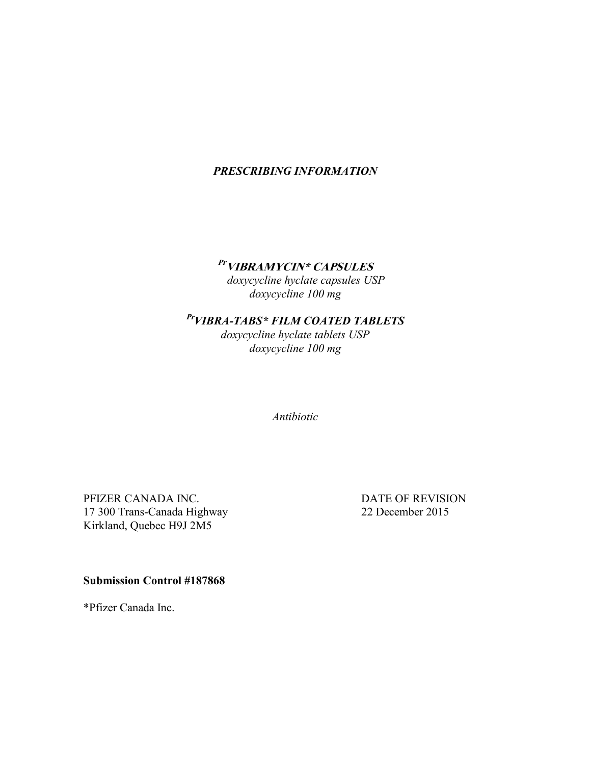# *PRESCRIBING INFORMATION*

# **Pr VIBRAMYCIN\* CAPSULES**

 *doxycycline hyclate capsules USP doxycycline 100 mg*

# **Pr***VIBRA-TABS\* FILM COATED TABLETS*

*doxycycline hyclate tablets USP doxycycline 100 mg*

*Antibiotic*

PFIZER CANADA INC. DATE OF REVISION 17 300 Trans-Canada Highway 22 December 2015 Kirkland, Quebec H9J 2M5

**Submission Control #187868**

\*Pfizer Canada Inc.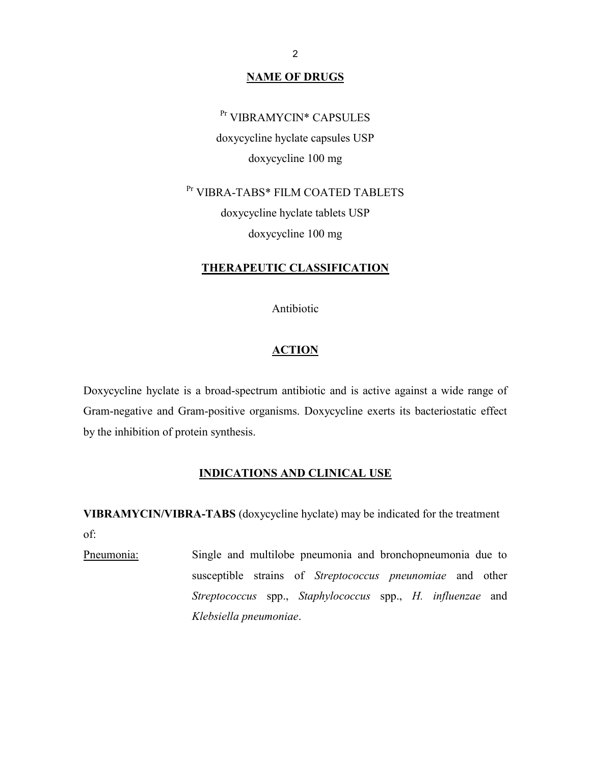### **NAME OF DRUGS**

# Pr VIBRAMYCIN\* CAPSULES

doxycycline hyclate capsules USP doxycycline 100 mg

Pr VIBRA-TABS\* FILM COATED TABLETS doxycycline hyclate tablets USP doxycycline 100 mg

#### **THERAPEUTIC CLASSIFICATION**

Antibiotic

### **ACTION**

Doxycycline hyclate is a broad-spectrum antibiotic and is active against a wide range of Gram-negative and Gram-positive organisms. Doxycycline exerts its bacteriostatic effect by the inhibition of protein synthesis.

### **INDICATIONS AND CLINICAL USE**

**VIBRAMYCIN/VIBRA-TABS** (doxycycline hyclate) may be indicated for the treatment of:

Pneumonia: Single and multilobe pneumonia and bronchopneumonia due to susceptible strains of *Streptococcus pneunomiae* and other *Streptococcus* spp., *Staphylococcus* spp., *H. influenzae* and *Klebsiella pneumoniae*.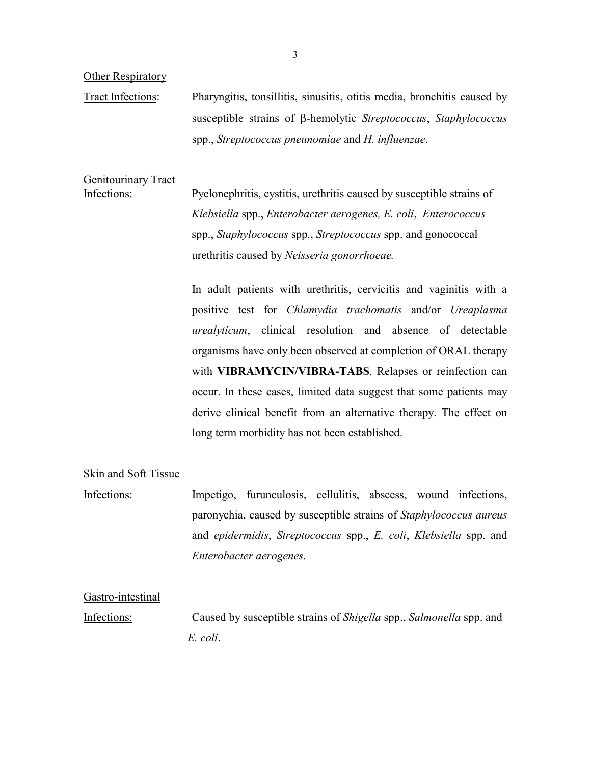**Other Respiratory** 

Tract Infections: Pharyngitis, tonsillitis, sinusitis, otitis media, bronchitis caused by susceptible strains of  $\beta$ -hemolytic *Streptococcus*, *Staphylococcus* spp., *Streptococcus pneunomiae* and *H. influenzae*.

Genitourinary Tract

Infections: Pyelonephritis, cystitis, urethritis caused by susceptible strains of *Klebsiella* spp., *Enterobacter aerogenes, E. coli*, *Enterococcus* spp., *Staphylococcus* spp., *Streptococcus* spp. and gonococcal urethritis caused by *Neisseria gonorrhoeae.*

> In adult patients with urethritis, cervicitis and vaginitis with a positive test for *Chlamydia trachomatis* and/or *Ureaplasma urealyticum*, clinical resolution and absence of detectable organisms have only been observed at completion of ORAL therapy with **VIBRAMYCIN/VIBRA-TABS**. Relapses or reinfection can occur. In these cases, limited data suggest that some patients may derive clinical benefit from an alternative therapy. The effect on long term morbidity has not been established.

### Skin and Soft Tissue

Infections: Impetigo, furunculosis, cellulitis, abscess, wound infections, paronychia, caused by susceptible strains of *Staphylococcus aureus* and *epidermidis*, *Streptococcus* spp., *E. coli*, *Klebsiella* spp. and *Enterobacter aerogenes.*

Gastro-intestinal

Infections: Caused by susceptible strains of *Shigella* spp., *Salmonella* spp. and *E. coli*.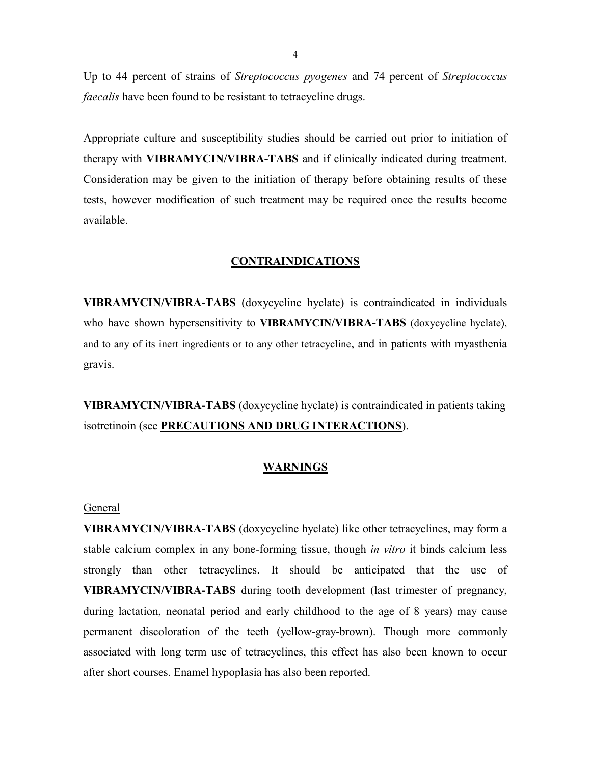Up to 44 percent of strains of *Streptococcus pyogenes* and 74 percent of *Streptococcus faecalis* have been found to be resistant to tetracycline drugs.

Appropriate culture and susceptibility studies should be carried out prior to initiation of therapy with **VIBRAMYCIN/VIBRA-TABS** and if clinically indicated during treatment. Consideration may be given to the initiation of therapy before obtaining results of these tests, however modification of such treatment may be required once the results become available.

### **CONTRAINDICATIONS**

**VIBRAMYCIN/VIBRA-TABS** (doxycycline hyclate) is contraindicated in individuals who have shown hypersensitivity to **VIBRAMYCIN/VIBRA-TABS** (doxycycline hyclate), and to any of its inert ingredients or to any other tetracycline, and in patients with myasthenia gravis.

**VIBRAMYCIN/VIBRA-TABS** (doxycycline hyclate) is contraindicated in patients taking isotretinoin (see **PRECAUTIONS AND DRUG INTERACTIONS**).

#### **WARNINGS**

#### General

**VIBRAMYCIN/VIBRA-TABS** (doxycycline hyclate) like other tetracyclines, may form a stable calcium complex in any bone-forming tissue, though *in vitro* it binds calcium less strongly than other tetracyclines. It should be anticipated that the use of **VIBRAMYCIN/VIBRA-TABS** during tooth development (last trimester of pregnancy, during lactation, neonatal period and early childhood to the age of 8 years) may cause permanent discoloration of the teeth (yellow-gray-brown). Though more commonly associated with long term use of tetracyclines, this effect has also been known to occur after short courses. Enamel hypoplasia has also been reported.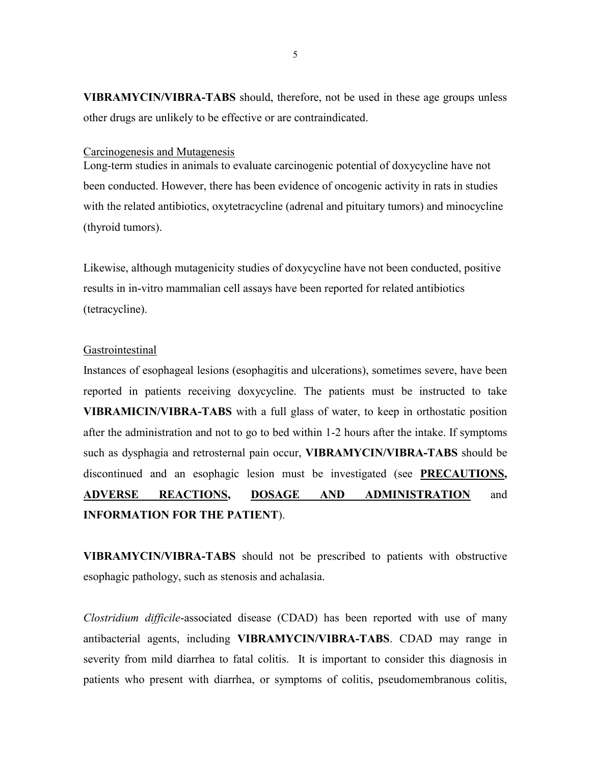**VIBRAMYCIN/VIBRA-TABS** should, therefore, not be used in these age groups unless other drugs are unlikely to be effective or are contraindicated.

Carcinogenesis and Mutagenesis

Long-term studies in animals to evaluate carcinogenic potential of doxycycline have not been conducted. However, there has been evidence of oncogenic activity in rats in studies with the related antibiotics, oxytetracycline (adrenal and pituitary tumors) and minocycline (thyroid tumors).

Likewise, although mutagenicity studies of doxycycline have not been conducted, positive results in in-vitro mammalian cell assays have been reported for related antibiotics (tetracycline).

#### **Gastrointestinal**

Instances of esophageal lesions (esophagitis and ulcerations), sometimes severe, have been reported in patients receiving doxycycline. The patients must be instructed to take **VIBRAMICIN/VIBRA-TABS** with a full glass of water, to keep in orthostatic position after the administration and not to go to bed within 1-2 hours after the intake. If symptoms such as dysphagia and retrosternal pain occur, **VIBRAMYCIN/VIBRA-TABS** should be discontinued and an esophagic lesion must be investigated (see **PRECAUTIONS, ADVERSE REACTIONS, DOSAGE AND ADMINISTRATION** and **INFORMATION FOR THE PATIENT**).

**VIBRAMYCIN/VIBRA-TABS** should not be prescribed to patients with obstructive esophagic pathology, such as stenosis and achalasia.

*Clostridium difficile*-associated disease (CDAD) has been reported with use of many antibacterial agents, including **VIBRAMYCIN/VIBRA-TABS**. CDAD may range in severity from mild diarrhea to fatal colitis. It is important to consider this diagnosis in patients who present with diarrhea, or symptoms of colitis, pseudomembranous colitis,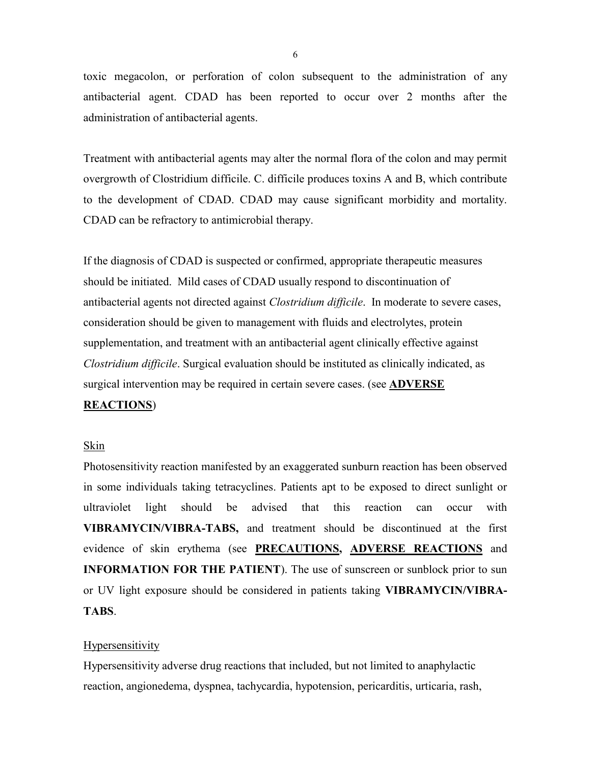toxic megacolon, or perforation of colon subsequent to the administration of any antibacterial agent. CDAD has been reported to occur over 2 months after the administration of antibacterial agents.

Treatment with antibacterial agents may alter the normal flora of the colon and may permit overgrowth of Clostridium difficile. C. difficile produces toxins A and B, which contribute to the development of CDAD. CDAD may cause significant morbidity and mortality. CDAD can be refractory to antimicrobial therapy.

If the diagnosis of CDAD is suspected or confirmed, appropriate therapeutic measures should be initiated. Mild cases of CDAD usually respond to discontinuation of antibacterial agents not directed against *Clostridium difficile*. In moderate to severe cases, consideration should be given to management with fluids and electrolytes, protein supplementation, and treatment with an antibacterial agent clinically effective against *Clostridium difficile*. Surgical evaluation should be instituted as clinically indicated, as surgical intervention may be required in certain severe cases. (see **ADVERSE** 

### **REACTIONS**)

#### Skin

Photosensitivity reaction manifested by an exaggerated sunburn reaction has been observed in some individuals taking tetracyclines. Patients apt to be exposed to direct sunlight or ultraviolet light should be advised that this reaction can occur with **VIBRAMYCIN/VIBRA-TABS,** and treatment should be discontinued at the first evidence of skin erythema (see **PRECAUTIONS, ADVERSE REACTIONS** and **INFORMATION FOR THE PATIENT**). The use of sunscreen or sunblock prior to sun or UV light exposure should be considered in patients taking **VIBRAMYCIN/VIBRA-TABS**.

#### **Hypersensitivity**

Hypersensitivity adverse drug reactions that included, but not limited to anaphylactic reaction, angionedema, dyspnea, tachycardia, hypotension, pericarditis, urticaria, rash,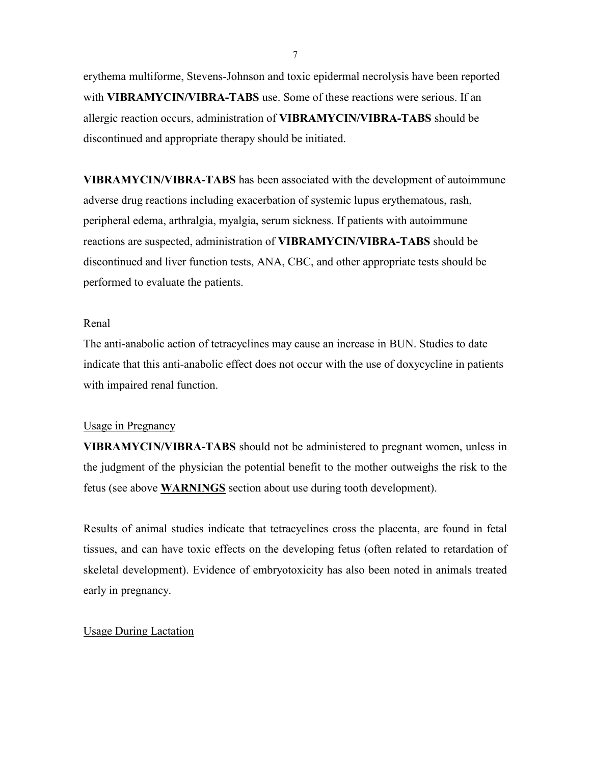erythema multiforme, Stevens-Johnson and toxic epidermal necrolysis have been reported with **VIBRAMYCIN/VIBRA-TABS** use. Some of these reactions were serious. If an allergic reaction occurs, administration of **VIBRAMYCIN/VIBRA-TABS** should be discontinued and appropriate therapy should be initiated.

**VIBRAMYCIN/VIBRA-TABS** has been associated with the development of autoimmune adverse drug reactions including exacerbation of systemic lupus erythematous, rash, peripheral edema, arthralgia, myalgia, serum sickness. If patients with autoimmune reactions are suspected, administration of **VIBRAMYCIN/VIBRA-TABS** should be discontinued and liver function tests, ANA, CBC, and other appropriate tests should be performed to evaluate the patients.

### Renal

The anti-anabolic action of tetracyclines may cause an increase in BUN. Studies to date indicate that this anti-anabolic effect does not occur with the use of doxycycline in patients with impaired renal function.

#### Usage in Pregnancy

**VIBRAMYCIN/VIBRA-TABS** should not be administered to pregnant women, unless in the judgment of the physician the potential benefit to the mother outweighs the risk to the fetus (see above **WARNINGS** section about use during tooth development).

Results of animal studies indicate that tetracyclines cross the placenta, are found in fetal tissues, and can have toxic effects on the developing fetus (often related to retardation of skeletal development). Evidence of embryotoxicity has also been noted in animals treated early in pregnancy.

#### Usage During Lactation

7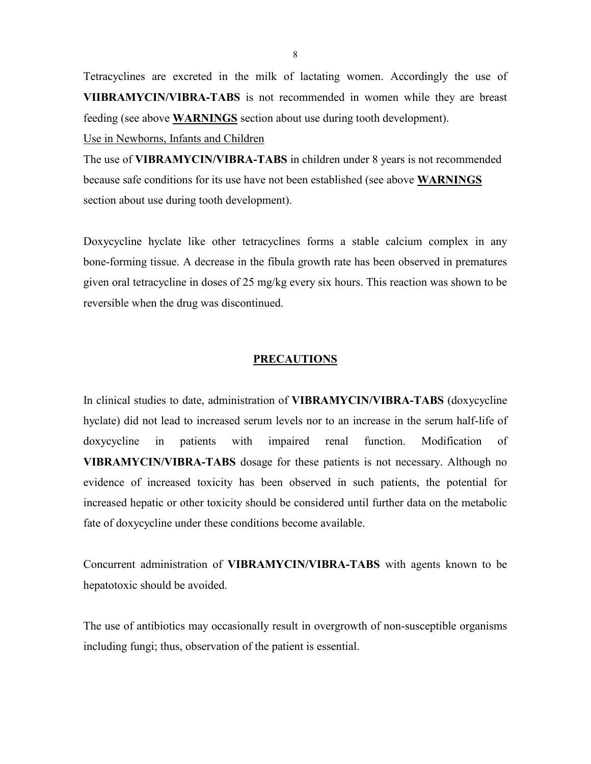Tetracyclines are excreted in the milk of lactating women. Accordingly the use of **VIIBRAMYCIN/VIBRA-TABS** is not recommended in women while they are breast feeding (see above **WARNINGS** section about use during tooth development).

Use in Newborns, Infants and Children

The use of **VIBRAMYCIN/VIBRA-TABS** in children under 8 years is not recommended because safe conditions for its use have not been established (see above **WARNINGS** section about use during tooth development).

Doxycycline hyclate like other tetracyclines forms a stable calcium complex in any bone-forming tissue. A decrease in the fibula growth rate has been observed in prematures given oral tetracycline in doses of 25 mg/kg every six hours. This reaction was shown to be reversible when the drug was discontinued.

#### **PRECAUTIONS**

In clinical studies to date, administration of **VIBRAMYCIN/VIBRA-TABS** (doxycycline hyclate) did not lead to increased serum levels nor to an increase in the serum half-life of doxycycline in patients with impaired renal function. Modification of **VIBRAMYCIN/VIBRA-TABS** dosage for these patients is not necessary. Although no evidence of increased toxicity has been observed in such patients, the potential for increased hepatic or other toxicity should be considered until further data on the metabolic fate of doxycycline under these conditions become available.

Concurrent administration of **VIBRAMYCIN/VIBRA-TABS** with agents known to be hepatotoxic should be avoided.

The use of antibiotics may occasionally result in overgrowth of non-susceptible organisms including fungi; thus, observation of the patient is essential.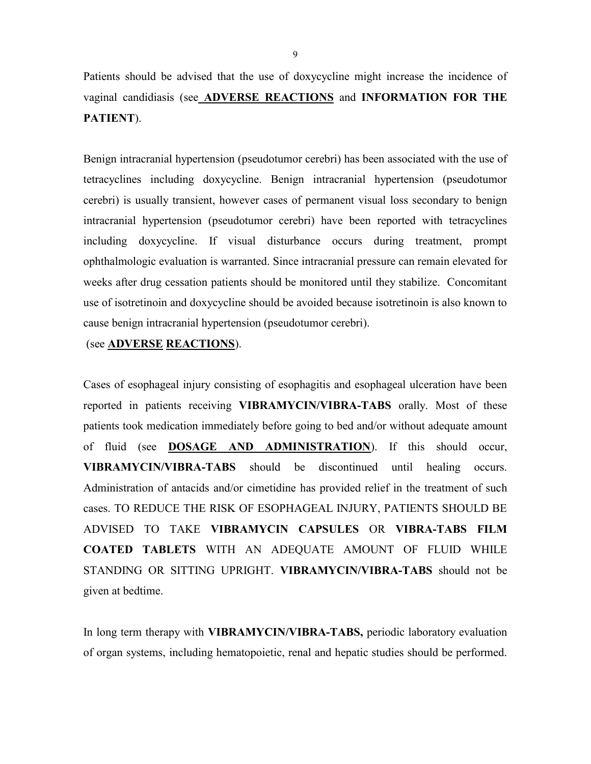Patients should be advised that the use of doxycycline might increase the incidence of vaginal candidiasis (see **ADVERSE REACTIONS** and **INFORMATION FOR THE PATIENT**).

Benign intracranial hypertension (pseudotumor cerebri) has been associated with the use of tetracyclines including doxycycline. Benign intracranial hypertension (pseudotumor cerebri) is usually transient, however cases of permanent visual loss secondary to benign intracranial hypertension (pseudotumor cerebri) have been reported with tetracyclines including doxycycline. If visual disturbance occurs during treatment, prompt ophthalmologic evaluation is warranted. Since intracranial pressure can remain elevated for weeks after drug cessation patients should be monitored until they stabilize. Concomitant use of isotretinoin and doxycycline should be avoided because isotretinoin is also known to cause benign intracranial hypertension (pseudotumor cerebri).

#### (see **ADVERSE REACTIONS**).

Cases of esophageal injury consisting of esophagitis and esophageal ulceration have been reported in patients receiving **VIBRAMYCIN/VIBRA-TABS** orally. Most of these patients took medication immediately before going to bed and/or without adequate amount of fluid (see **DOSAGE AND ADMINISTRATION**). If this should occur, **VIBRAMYCIN/VIBRA-TABS** should be discontinued until healing occurs. Administration of antacids and/or cimetidine has provided relief in the treatment of such cases. TO REDUCE THE RISK OF ESOPHAGEAL INJURY, PATIENTS SHOULD BE ADVISED TO TAKE **VIBRAMYCIN CAPSULES** OR **VIBRA-TABS FILM COATED TABLETS** WITH AN ADEQUATE AMOUNT OF FLUID WHILE STANDING OR SITTING UPRIGHT. **VIBRAMYCIN/VIBRA-TABS** should not be given at bedtime.

In long term therapy with **VIBRAMYCIN/VIBRA-TABS,** periodic laboratory evaluation of organ systems, including hematopoietic, renal and hepatic studies should be performed.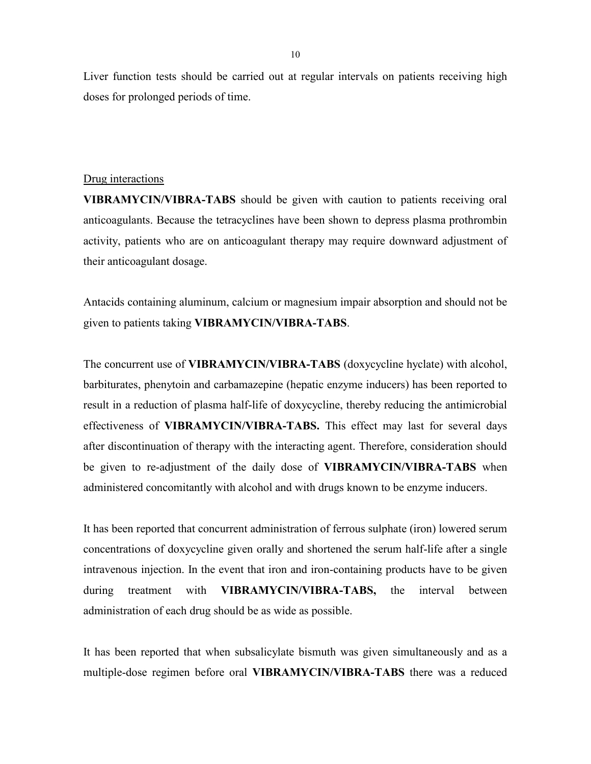Liver function tests should be carried out at regular intervals on patients receiving high doses for prolonged periods of time.

#### Drug interactions

**VIBRAMYCIN/VIBRA-TABS** should be given with caution to patients receiving oral anticoagulants. Because the tetracyclines have been shown to depress plasma prothrombin activity, patients who are on anticoagulant therapy may require downward adjustment of their anticoagulant dosage.

Antacids containing aluminum, calcium or magnesium impair absorption and should not be given to patients taking **VIBRAMYCIN/VIBRA-TABS**.

The concurrent use of **VIBRAMYCIN/VIBRA-TABS** (doxycycline hyclate) with alcohol, barbiturates, phenytoin and carbamazepine (hepatic enzyme inducers) has been reported to result in a reduction of plasma half-life of doxycycline, thereby reducing the antimicrobial effectiveness of **VIBRAMYCIN/VIBRA-TABS.** This effect may last for several days after discontinuation of therapy with the interacting agent. Therefore, consideration should be given to re-adjustment of the daily dose of **VIBRAMYCIN/VIBRA-TABS** when administered concomitantly with alcohol and with drugs known to be enzyme inducers.

It has been reported that concurrent administration of ferrous sulphate (iron) lowered serum concentrations of doxycycline given orally and shortened the serum half-life after a single intravenous injection. In the event that iron and iron-containing products have to be given during treatment with **VIBRAMYCIN/VIBRA-TABS,** the interval between administration of each drug should be as wide as possible.

It has been reported that when subsalicylate bismuth was given simultaneously and as a multiple-dose regimen before oral **VIBRAMYCIN/VIBRA-TABS** there was a reduced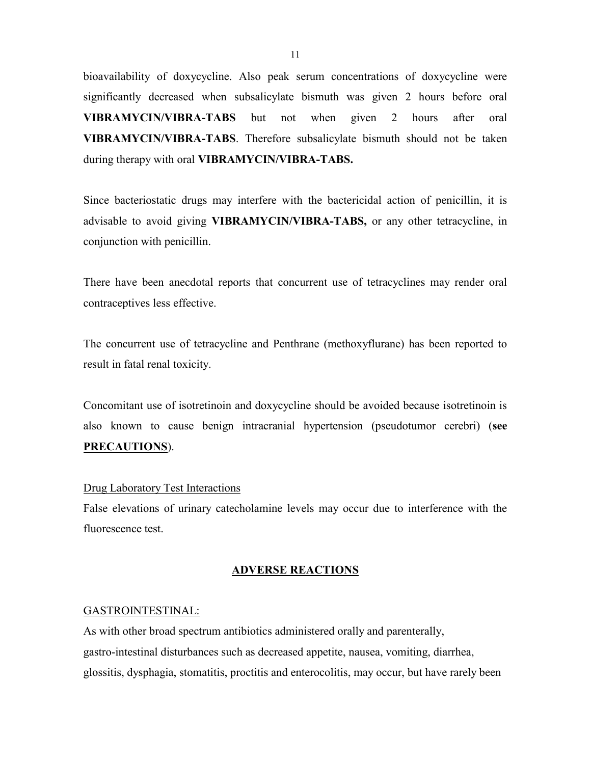bioavailability of doxycycline. Also peak serum concentrations of doxycycline were significantly decreased when subsalicylate bismuth was given 2 hours before oral **VIBRAMYCIN/VIBRA-TABS** but not when given 2 hours after oral **VIBRAMYCIN/VIBRA-TABS**. Therefore subsalicylate bismuth should not be taken during therapy with oral **VIBRAMYCIN/VIBRA-TABS.**

Since bacteriostatic drugs may interfere with the bactericidal action of penicillin, it is advisable to avoid giving **VIBRAMYCIN/VIBRA-TABS,** or any other tetracycline, in conjunction with penicillin.

There have been anecdotal reports that concurrent use of tetracyclines may render oral contraceptives less effective.

The concurrent use of tetracycline and Penthrane (methoxyflurane) has been reported to result in fatal renal toxicity.

Concomitant use of isotretinoin and doxycycline should be avoided because isotretinoin is also known to cause benign intracranial hypertension (pseudotumor cerebri) (**see PRECAUTIONS**).

### Drug Laboratory Test Interactions

False elevations of urinary catecholamine levels may occur due to interference with the fluorescence test.

#### **ADVERSE REACTIONS**

#### GASTROINTESTINAL:

As with other broad spectrum antibiotics administered orally and parenterally, gastro-intestinal disturbances such as decreased appetite, nausea, vomiting, diarrhea, glossitis, dysphagia, stomatitis, proctitis and enterocolitis, may occur, but have rarely been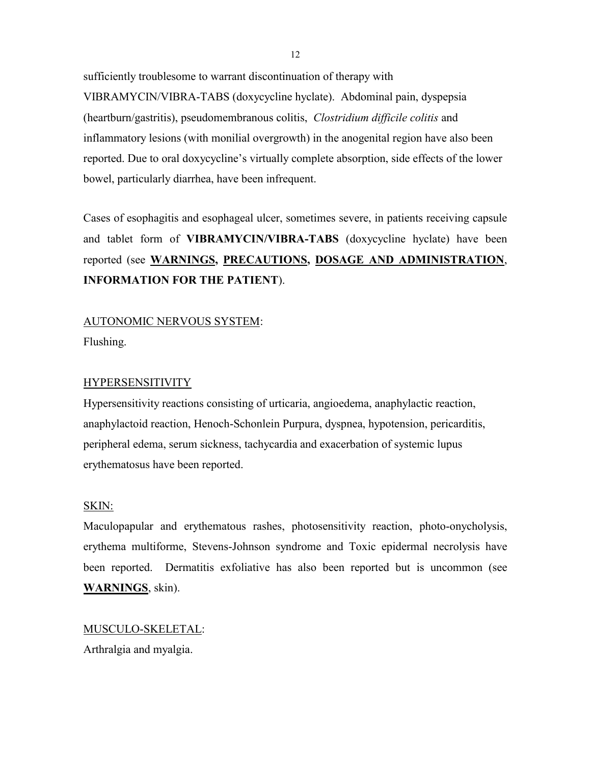sufficiently troublesome to warrant discontinuation of therapy with VIBRAMYCIN/VIBRA-TABS (doxycycline hyclate). Abdominal pain, dyspepsia (heartburn/gastritis), pseudomembranous colitis, *Clostridium difficile colitis* and inflammatory lesions (with monilial overgrowth) in the anogenital region have also been reported. Due to oral doxycycline's virtually complete absorption, side effects of the lower bowel, particularly diarrhea, have been infrequent.

Cases of esophagitis and esophageal ulcer, sometimes severe, in patients receiving capsule and tablet form of **VIBRAMYCIN/VIBRA-TABS** (doxycycline hyclate) have been reported (see **WARNINGS, PRECAUTIONS, DOSAGE AND ADMINISTRATION**, **INFORMATION FOR THE PATIENT**).

# AUTONOMIC NERVOUS SYSTEM:

Flushing.

# HYPERSENSITIVITY

Hypersensitivity reactions consisting of urticaria, angioedema, anaphylactic reaction, anaphylactoid reaction, Henoch-Schonlein Purpura, dyspnea, hypotension, pericarditis, peripheral edema, serum sickness, tachycardia and exacerbation of systemic lupus erythematosus have been reported.

### SKIN:

Maculopapular and erythematous rashes, photosensitivity reaction, photo-onycholysis, erythema multiforme, Stevens-Johnson syndrome and Toxic epidermal necrolysis have been reported. Dermatitis exfoliative has also been reported but is uncommon (see **WARNINGS**, skin).

MUSCULO-SKELETAL:

Arthralgia and myalgia.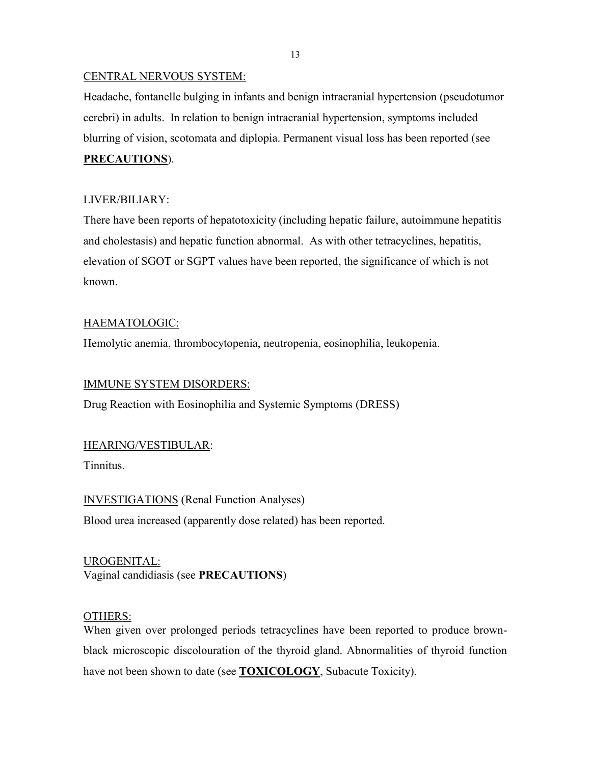### CENTRAL NERVOUS SYSTEM:

Headache, fontanelle bulging in infants and benign intracranial hypertension (pseudotumor cerebri) in adults. In relation to benign intracranial hypertension, symptoms included blurring of vision, scotomata and diplopia. Permanent visual loss has been reported (see

# **PRECAUTIONS**).

# LIVER/BILIARY:

There have been reports of hepatotoxicity (including hepatic failure, autoimmune hepatitis and cholestasis) and hepatic function abnormal. As with other tetracyclines, hepatitis, elevation of SGOT or SGPT values have been reported, the significance of which is not known.

## HAEMATOLOGIC:

Hemolytic anemia, thrombocytopenia, neutropenia, eosinophilia, leukopenia.

### IMMUNE SYSTEM DISORDERS:

Drug Reaction with Eosinophilia and Systemic Symptoms (DRESS)

### HEARING/VESTIBULAR:

Tinnitus.

INVESTIGATIONS (Renal Function Analyses) Blood urea increased (apparently dose related) has been reported.

UROGENITAL: Vaginal candidiasis (see **PRECAUTIONS**)

### OTHERS:

When given over prolonged periods tetracyclines have been reported to produce brownblack microscopic discolouration of the thyroid gland. Abnormalities of thyroid function have not been shown to date (see **TOXICOLOGY**, Subacute Toxicity).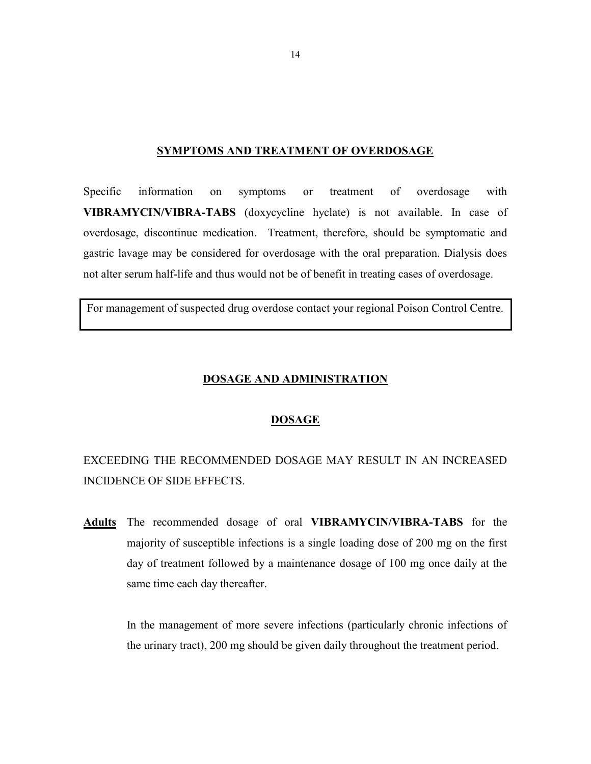#### **SYMPTOMS AND TREATMENT OF OVERDOSAGE**

Specific information on symptoms or treatment of overdosage with **VIBRAMYCIN/VIBRA-TABS** (doxycycline hyclate) is not available. In case of overdosage, discontinue medication. Treatment, therefore, should be symptomatic and gastric lavage may be considered for overdosage with the oral preparation. Dialysis does not alter serum half-life and thus would not be of benefit in treating cases of overdosage.

For management of suspected drug overdose contact your regional Poison Control Centre.

### **DOSAGE AND ADMINISTRATION**

### **DOSAGE**

EXCEEDING THE RECOMMENDED DOSAGE MAY RESULT IN AN INCREASED INCIDENCE OF SIDE EFFECTS.

**Adults** The recommended dosage of oral **VIBRAMYCIN/VIBRA-TABS** for the majority of susceptible infections is a single loading dose of 200 mg on the first day of treatment followed by a maintenance dosage of 100 mg once daily at the same time each day thereafter.

> In the management of more severe infections (particularly chronic infections of the urinary tract), 200 mg should be given daily throughout the treatment period.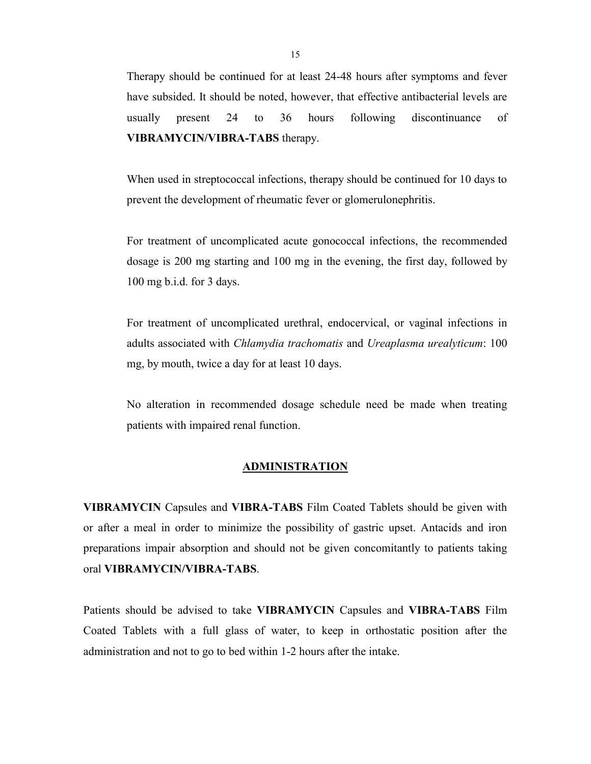Therapy should be continued for at least 24-48 hours after symptoms and fever have subsided. It should be noted, however, that effective antibacterial levels are usually present 24 to 36 hours following discontinuance of **VIBRAMYCIN/VIBRA-TABS** therapy.

When used in streptococcal infections, therapy should be continued for 10 days to prevent the development of rheumatic fever or glomerulonephritis.

For treatment of uncomplicated acute gonococcal infections, the recommended dosage is 200 mg starting and 100 mg in the evening, the first day, followed by 100 mg b.i.d. for 3 days.

For treatment of uncomplicated urethral, endocervical, or vaginal infections in adults associated with *Chlamydia trachomatis* and *Ureaplasma urealyticum*: 100 mg, by mouth, twice a day for at least 10 days.

No alteration in recommended dosage schedule need be made when treating patients with impaired renal function.

#### **ADMINISTRATION**

**VIBRAMYCIN** Capsules and **VIBRA-TABS** Film Coated Tablets should be given with or after a meal in order to minimize the possibility of gastric upset. Antacids and iron preparations impair absorption and should not be given concomitantly to patients taking oral **VIBRAMYCIN/VIBRA-TABS**.

Patients should be advised to take **VIBRAMYCIN** Capsules and **VIBRA-TABS** Film Coated Tablets with a full glass of water, to keep in orthostatic position after the administration and not to go to bed within 1-2 hours after the intake.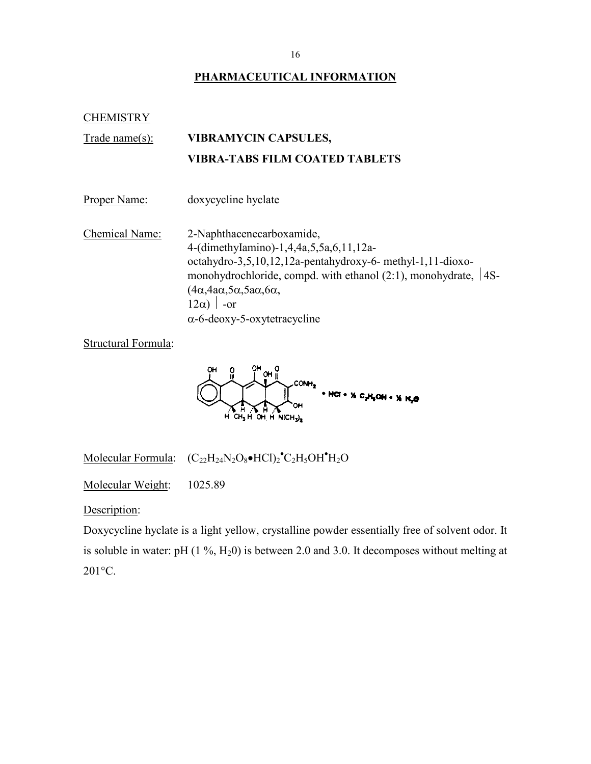# **PHARMACEUTICAL INFORMATION**

**CHEMISTRY** 

# Trade name(s): **VIBRAMYCIN CAPSULES, VIBRA-TABS FILM COATED TABLETS**

Proper Name: doxycycline hyclate

Chemical Name: 2-Naphthacenecarboxamide, 4-(dimethyIamino)-1,4,4a,5,5a,6,11,12aoctahydro-3,5,10,12,12a-pentahydroxy-6- methyl-1,11-dioxomonohydrochloride, compd. with ethanol  $(2:1)$ , monohydrate,  $|4S (4\alpha, 4a\alpha, 5\alpha, 5a\alpha, 6\alpha,$  $|12\alpha\rangle$  -or  $\alpha$ -6-deoxy-5-oxytetracycline

Structural Formula:



Molecular Formula:  $(C_{22}H_{24}N_2O_8 \bullet HCl)_2 \bullet C_2H_5OH \bullet H_2O$ 

Molecular Weight: 1025.89

Description:

Doxycycline hyclate is a light yellow, crystalline powder essentially free of solvent odor. It is soluble in water: pH  $(1\%, H_20)$  is between 2.0 and 3.0. It decomposes without melting at 201°C.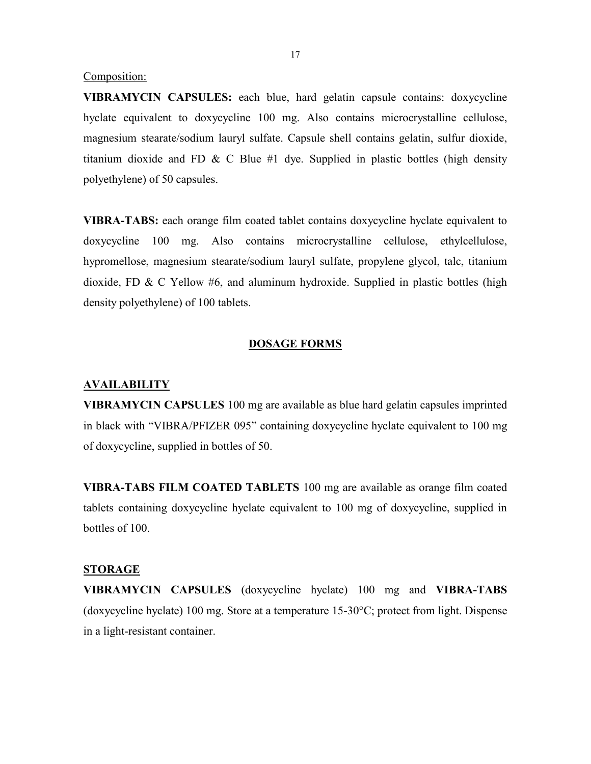Composition:

**VIBRAMYCIN CAPSULES:** each blue, hard gelatin capsule contains: doxycycline hyclate equivalent to doxycycline 100 mg. Also contains microcrystalline cellulose, magnesium stearate/sodium lauryl sulfate. Capsule shell contains gelatin, sulfur dioxide, titanium dioxide and FD  $\&$  C Blue #1 dye. Supplied in plastic bottles (high density polyethylene) of 50 capsules.

**VIBRA-TABS:** each orange film coated tablet contains doxycycline hyclate equivalent to doxycycline 100 mg. Also contains microcrystalline cellulose, ethylcellulose, hypromellose, magnesium stearate/sodium lauryl sulfate, propylene glycol, talc, titanium dioxide, FD & C Yellow #6, and aluminum hydroxide. Supplied in plastic bottles (high density polyethylene) of 100 tablets.

#### **DOSAGE FORMS**

#### **AVAILABILITY**

**VIBRAMYCIN CAPSULES** 100 mg are available as blue hard gelatin capsules imprinted in black with "VIBRA/PFIZER 095" containing doxycycline hyclate equivalent to 100 mg of doxycycline, supplied in bottles of 50.

**VIBRA-TABS FILM COATED TABLETS** 100 mg are available as orange film coated tablets containing doxycycline hyclate equivalent to 100 mg of doxycycline, supplied in bottles of 100.

#### **STORAGE**

**VIBRAMYCIN CAPSULES** (doxycycline hyclate) 100 mg and **VIBRA-TABS**  (doxycycline hyclate) 100 mg. Store at a temperature 15-30°C; protect from light. Dispense in a light-resistant container.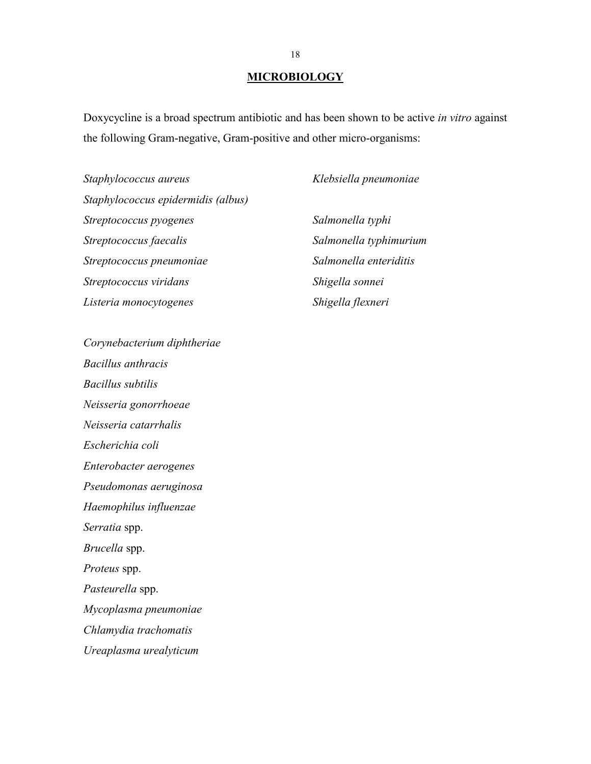### **MICROBIOLOGY**

Doxycycline is a broad spectrum antibiotic and has been shown to be active *in vitro* against the following Gram-negative, Gram-positive and other micro-organisms:

*Staphylococcus aureus Staphylococcus epidermidis (albus) Streptococcus pyogenes Streptococcus faecalis Streptococcus pneumoniae Streptococcus viridans Listeria monocytogenes*

*Corynebacterium diphtheriae Bacillus anthracis Bacillus subtilis Neisseria gonorrhoeae Neisseria catarrhalis Escherichia coli Enterobacter aerogenes Pseudomonas aeruginosa Haemophilus influenzae Serratia* spp. *Brucella* spp. *Proteus* spp. *Pasteurella* spp. *Mycoplasma pneumoniae Chlamydia trachomatis Ureaplasma urealyticum*

*Klebsiella pneumoniae*

*Salmonella typhi Salmonella typhimurium Salmonella enteriditis Shigella sonnei Shigella flexneri*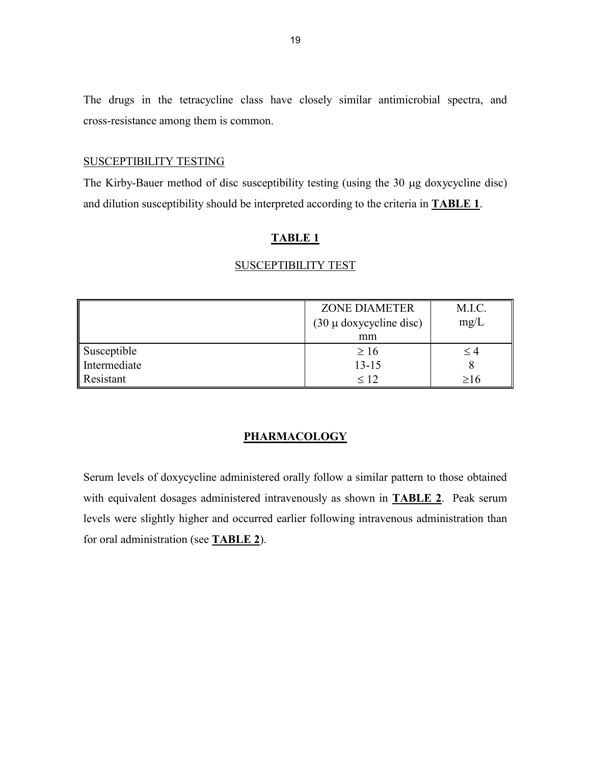The drugs in the tetracycline class have closely similar antimicrobial spectra, and cross-resistance among them is common.

### SUSCEPTIBILITY TESTING

The Kirby-Bauer method of disc susceptibility testing (using the 30 µg doxycycline disc) and dilution susceptibility should be interpreted according to the criteria in **TABLE 1**.

### **TABLE 1**

|              | <b>ZONE DIAMETER</b>        | M.I.C.   |
|--------------|-----------------------------|----------|
|              | $(30 \mu$ doxycycline disc) | mg/L     |
|              | mm                          |          |
| Susceptible  | $\geq 16$                   | $\leq 4$ |
| Intermediate | $13 - 15$                   |          |
| Resistant    | $\leq 12$                   | >16      |

#### SUSCEPTIBILITY TEST

## **PHARMACOLOGY**

Serum levels of doxycycline administered orally follow a similar pattern to those obtained with equivalent dosages administered intravenously as shown in **TABLE 2**. Peak serum levels were slightly higher and occurred earlier following intravenous administration than for oral administration (see **TABLE 2**).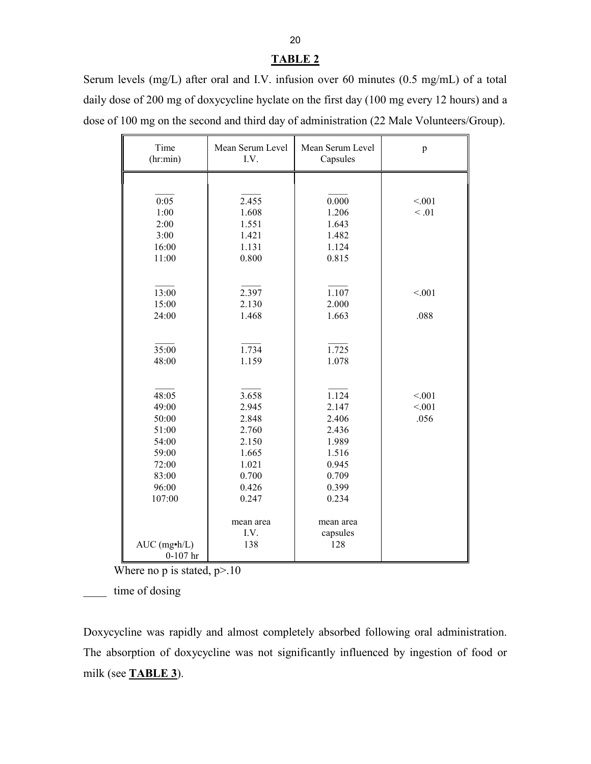### **TABLE 2**

Serum levels (mg/L) after oral and I.V. infusion over 60 minutes (0.5 mg/mL) of a total daily dose of 200 mg of doxycycline hyclate on the first day (100 mg every 12 hours) and a dose of 100 mg on the second and third day of administration (22 Male Volunteers/Group).

| Time<br>(hr:min)                                                                        | Mean Serum Level<br>I.V.                                                               | Mean Serum Level<br>Capsules                                                           | p                       |
|-----------------------------------------------------------------------------------------|----------------------------------------------------------------------------------------|----------------------------------------------------------------------------------------|-------------------------|
| 0:05<br>1:00<br>2:00<br>3:00<br>16:00<br>11:00                                          | 2.455<br>1.608<br>1.551<br>1.421<br>1.131<br>0.800                                     | 0.000<br>1.206<br>1.643<br>1.482<br>1.124<br>0.815                                     | < 0.01<br>< 0.01        |
| 13:00<br>15:00<br>24:00                                                                 | 2.397<br>2.130<br>1.468                                                                | 1.107<br>2.000<br>1.663                                                                | < 001<br>.088           |
| 35:00<br>48:00                                                                          | 1.734<br>1.159                                                                         | 1.725<br>1.078                                                                         |                         |
| 48:05<br>49:00<br>50:00<br>51:00<br>54:00<br>59:00<br>72:00<br>83:00<br>96:00<br>107:00 | 3.658<br>2.945<br>2.848<br>2.760<br>2.150<br>1.665<br>1.021<br>0.700<br>0.426<br>0.247 | 1.124<br>2.147<br>2.406<br>2.436<br>1.989<br>1.516<br>0.945<br>0.709<br>0.399<br>0.234 | < 001<br>< 0.01<br>.056 |
| $AUC$ (mg $\cdot$ h/L)<br>$0-107$ hr                                                    | mean area<br>I.V.<br>138                                                               | mean area<br>capsules<br>128                                                           |                         |

Where no p is stated,  $p > 10$ 

\_\_\_\_ time of dosing

Doxycycline was rapidly and almost completely absorbed following oral administration. The absorption of doxycycline was not significantly influenced by ingestion of food or milk (see **TABLE 3**).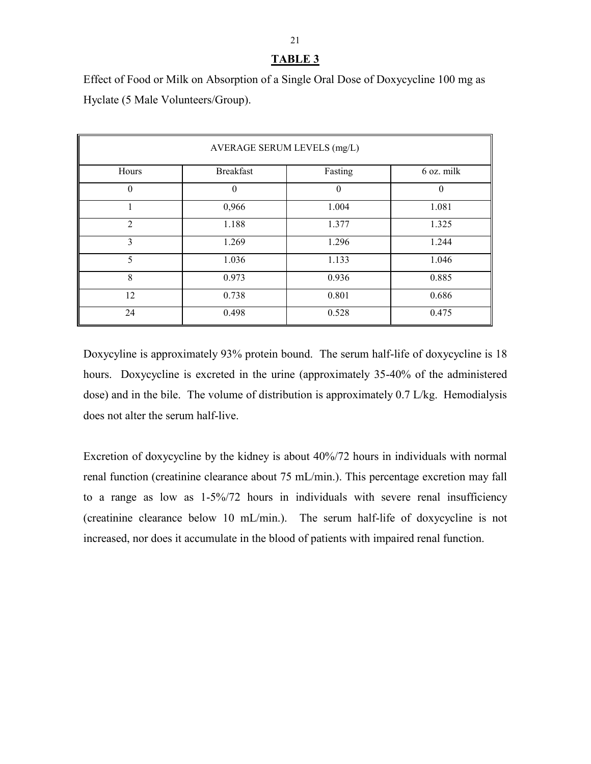# **TABLE 3**

Effect of Food or Milk on Absorption of a Single Oral Dose of Doxycycline 100 mg as Hyclate (5 Male Volunteers/Group).

| AVERAGE SERUM LEVELS (mg/L) |                  |          |            |
|-----------------------------|------------------|----------|------------|
| Hours                       | <b>Breakfast</b> | Fasting  | 6 oz. milk |
| $\Omega$                    | $\theta$         | $\theta$ | $\theta$   |
|                             | 0,966            | 1.004    | 1.081      |
| $\overline{2}$              | 1.188            | 1.377    | 1.325      |
| 3                           | 1.269            | 1.296    | 1.244      |
| 5                           | 1.036            | 1.133    | 1.046      |
| 8                           | 0.973            | 0.936    | 0.885      |
| 12                          | 0.738            | 0.801    | 0.686      |
| 24                          | 0.498            | 0.528    | 0.475      |

Doxycyline is approximately 93% protein bound. The serum half-life of doxycycline is 18 hours. Doxycycline is excreted in the urine (approximately 35-40% of the administered dose) and in the bile. The volume of distribution is approximately 0.7 L/kg. Hemodialysis does not alter the serum half-live.

Excretion of doxycycline by the kidney is about 40%/72 hours in individuals with normal renal function (creatinine clearance about 75 mL/min.). This percentage excretion may fall to a range as low as 1-5%/72 hours in individuals with severe renal insufficiency (creatinine clearance below 10 mL/min.). The serum half-life of doxycycline is not increased, nor does it accumulate in the blood of patients with impaired renal function.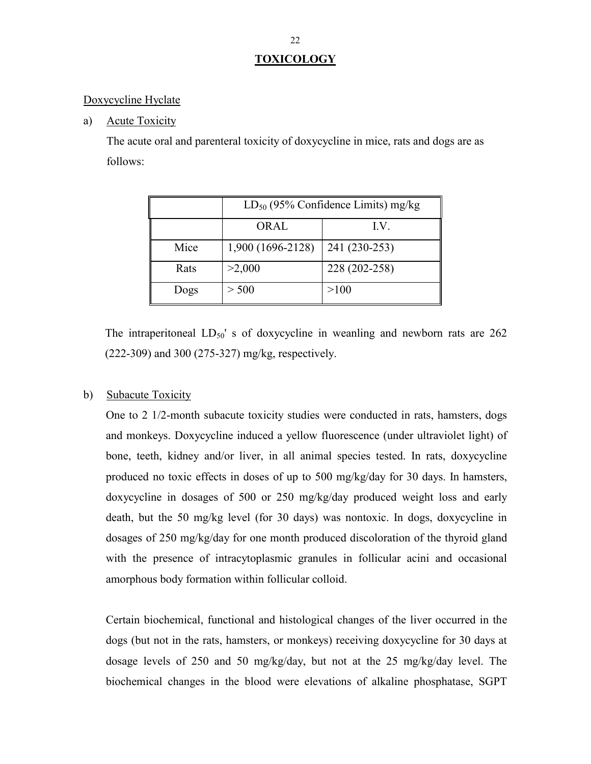# **TOXICOLOGY**

### Doxycycline Hyclate

a) Acute Toxicity

The acute oral and parenteral toxicity of doxycycline in mice, rats and dogs are as follows:

|      | $LD_{50}$ (95% Confidence Limits) mg/kg |               |  |
|------|-----------------------------------------|---------------|--|
|      | <b>ORAL</b>                             | I.V.          |  |
| Mice | 1,900 (1696-2128)                       | 241 (230-253) |  |
| Rats | >2,000                                  | 228 (202-258) |  |
| Dogs | > 500                                   | >100          |  |

The intraperitoneal  $LD_{50}$ ' s of doxycycline in weanling and newborn rats are 262 (222-309) and 300 (275-327) mg/kg, respectively.

### b) Subacute Toxicity

One to 2 1/2-month subacute toxicity studies were conducted in rats, hamsters, dogs and monkeys. Doxycycline induced a yellow fluorescence (under ultraviolet light) of bone, teeth, kidney and/or liver, in all animal species tested. In rats, doxycycline produced no toxic effects in doses of up to 500 mg/kg/day for 30 days. In hamsters, doxycycline in dosages of 500 or 250 mg/kg/day produced weight loss and early death, but the 50 mg/kg level (for 30 days) was nontoxic. In dogs, doxycycline in dosages of 250 mg/kg/day for one month produced discoloration of the thyroid gland with the presence of intracytoplasmic granules in follicular acini and occasional amorphous body formation within follicular colloid.

Certain biochemical, functional and histological changes of the liver occurred in the dogs (but not in the rats, hamsters, or monkeys) receiving doxycycline for 30 days at dosage levels of 250 and 50 mg/kg/day, but not at the 25 mg/kg/day level. The biochemical changes in the blood were elevations of alkaline phosphatase, SGPT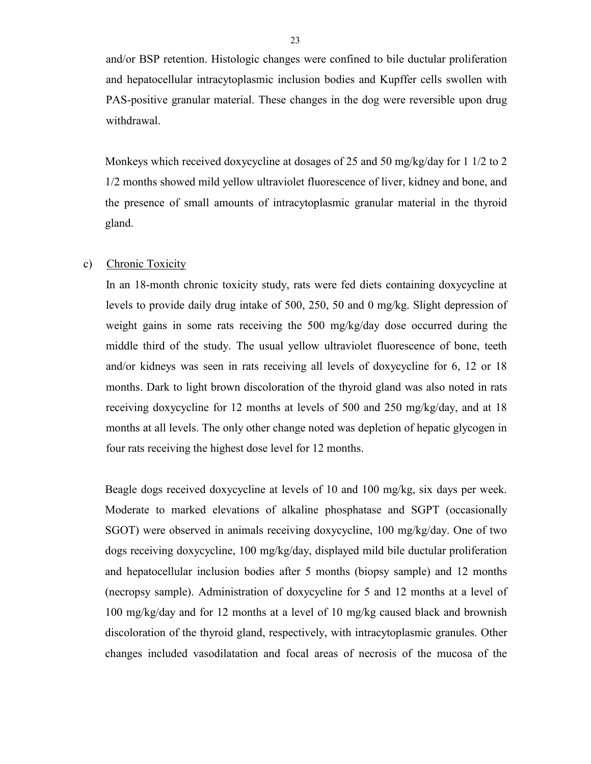and/or BSP retention. Histologic changes were confined to bile ductular proliferation and hepatocellular intracytoplasmic inclusion bodies and Kupffer cells swollen with PAS-positive granular material. These changes in the dog were reversible upon drug withdrawal.

Monkeys which received doxycycline at dosages of 25 and 50 mg/kg/day for 1 1/2 to 2 1/2 months showed mild yellow ultraviolet fluorescence of liver, kidney and bone, and the presence of small amounts of intracytoplasmic granular material in the thyroid gland.

### c) Chronic Toxicity

In an 18-month chronic toxicity study, rats were fed diets containing doxycycline at levels to provide daily drug intake of 500, 250, 50 and 0 mg/kg. Slight depression of weight gains in some rats receiving the 500 mg/kg/day dose occurred during the middle third of the study. The usual yellow ultraviolet fluorescence of bone, teeth and/or kidneys was seen in rats receiving all levels of doxycycline for 6, 12 or 18 months. Dark to light brown discoloration of the thyroid gland was also noted in rats receiving doxycycline for 12 months at levels of 500 and 250 mg/kg/day, and at 18 months at all levels. The only other change noted was depletion of hepatic glycogen in four rats receiving the highest dose level for 12 months.

Beagle dogs received doxycycline at levels of 10 and 100 mg/kg, six days per week. Moderate to marked elevations of alkaline phosphatase and SGPT (occasionally SGOT) were observed in animals receiving doxycycline, 100 mg/kg/day. One of two dogs receiving doxycycline, 100 mg/kg/day, displayed mild bile ductular proliferation and hepatocellular inclusion bodies after 5 months (biopsy sample) and 12 months (necropsy sample). Administration of doxycycline for 5 and 12 months at a level of 100 mg/kg/day and for 12 months at a level of 10 mg/kg caused black and brownish discoloration of the thyroid gland, respectively, with intracytoplasmic granules. Other changes included vasodilatation and focal areas of necrosis of the mucosa of the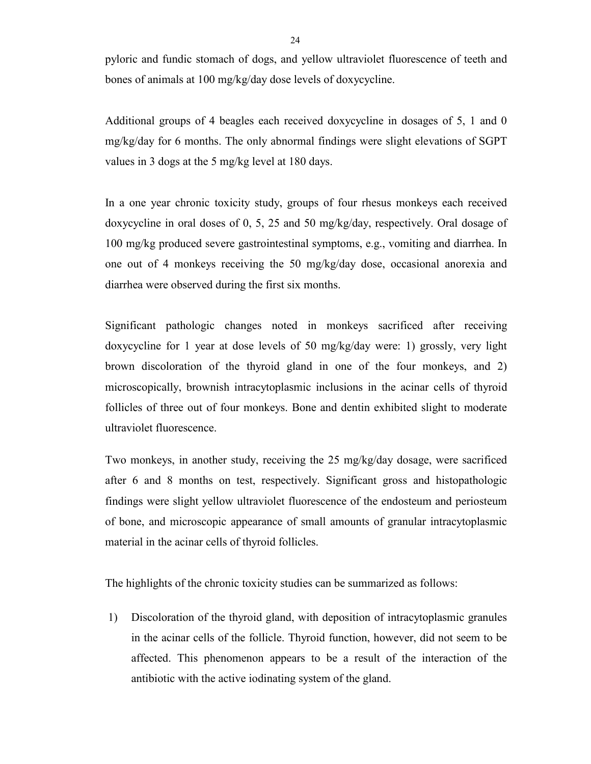pyloric and fundic stomach of dogs, and yellow ultraviolet fluorescence of teeth and bones of animals at 100 mg/kg/day dose levels of doxycycline.

Additional groups of 4 beagles each received doxycycline in dosages of 5, 1 and 0 mg/kg/day for 6 months. The only abnormal findings were slight elevations of SGPT values in 3 dogs at the 5 mg/kg level at 180 days.

In a one year chronic toxicity study, groups of four rhesus monkeys each received doxycycline in oral doses of 0, 5, 25 and 50 mg/kg/day, respectively. Oral dosage of 100 mg/kg produced severe gastrointestinal symptoms, e.g., vomiting and diarrhea. In one out of 4 monkeys receiving the 50 mg/kg/day dose, occasional anorexia and diarrhea were observed during the first six months.

Significant pathologic changes noted in monkeys sacrificed after receiving doxycycline for 1 year at dose levels of 50 mg/kg/day were: 1) grossly, very light brown discoloration of the thyroid gland in one of the four monkeys, and 2) microscopically, brownish intracytoplasmic inclusions in the acinar cells of thyroid follicles of three out of four monkeys. Bone and dentin exhibited slight to moderate ultraviolet fluorescence.

Two monkeys, in another study, receiving the 25 mg/kg/day dosage, were sacrificed after 6 and 8 months on test, respectively. Significant gross and histopathologic findings were slight yellow ultraviolet fluorescence of the endosteum and periosteum of bone, and microscopic appearance of small amounts of granular intracytoplasmic material in the acinar cells of thyroid follicles.

The highlights of the chronic toxicity studies can be summarized as follows:

1) Discoloration of the thyroid gland, with deposition of intracytoplasmic granules in the acinar cells of the follicle. Thyroid function, however, did not seem to be affected. This phenomenon appears to be a result of the interaction of the antibiotic with the active iodinating system of the gland.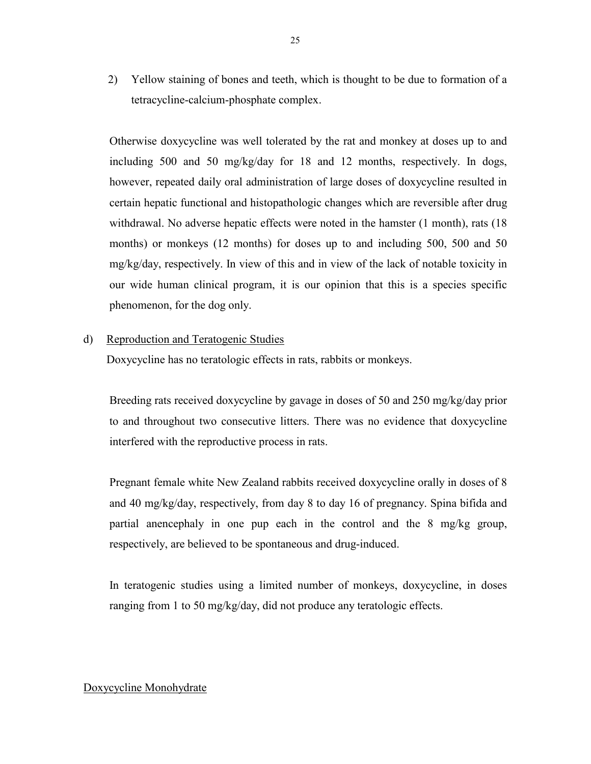2) Yellow staining of bones and teeth, which is thought to be due to formation of a tetracycline-calcium-phosphate complex.

Otherwise doxycycline was well tolerated by the rat and monkey at doses up to and including 500 and 50 mg/kg/day for 18 and 12 months, respectively. In dogs, however, repeated daily oral administration of large doses of doxycycline resulted in certain hepatic functional and histopathologic changes which are reversible after drug withdrawal. No adverse hepatic effects were noted in the hamster (1 month), rats (18 months) or monkeys (12 months) for doses up to and including 500, 500 and 50 mg/kg/day, respectively. In view of this and in view of the lack of notable toxicity in our wide human clinical program, it is our opinion that this is a species specific phenomenon, for the dog only.

### d) Reproduction and Teratogenic Studies

Doxycycline has no teratologic effects in rats, rabbits or monkeys.

Breeding rats received doxycycline by gavage in doses of 50 and 250 mg/kg/day prior to and throughout two consecutive litters. There was no evidence that doxycycline interfered with the reproductive process in rats.

Pregnant female white New Zealand rabbits received doxycycline orally in doses of 8 and 40 mg/kg/day, respectively, from day 8 to day 16 of pregnancy. Spina bifida and partial anencephaly in one pup each in the control and the 8 mg/kg group, respectively, are believed to be spontaneous and drug-induced.

In teratogenic studies using a limited number of monkeys, doxycycline, in doses ranging from 1 to 50 mg/kg/day, did not produce any teratologic effects.

#### Doxycycline Monohydrate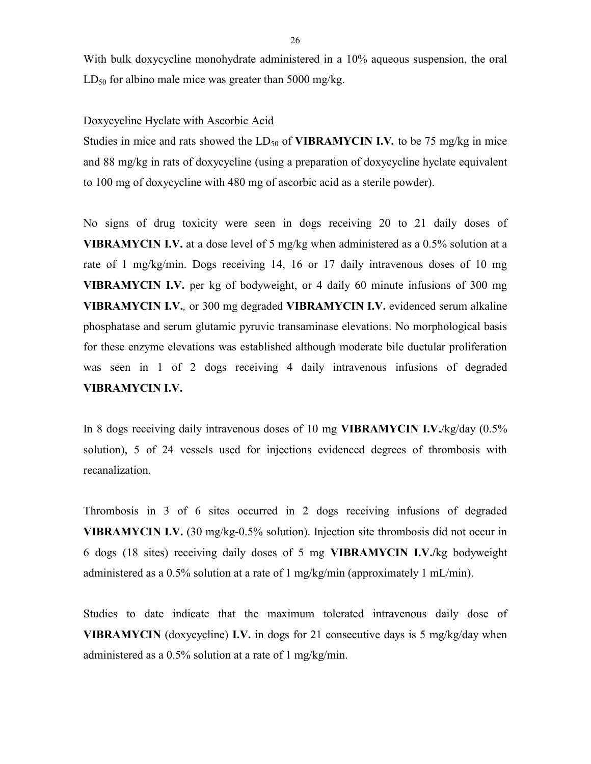With bulk doxycycline monohydrate administered in a 10% aqueous suspension, the oral  $LD_{50}$  for albino male mice was greater than 5000 mg/kg.

#### Doxycycline Hyclate with Ascorbic Acid

Studies in mice and rats showed the LD<sub>50</sub> of **VIBRAMYCIN I.V***.* to be 75 mg/kg in mice and 88 mg/kg in rats of doxycycline (using a preparation of doxycycline hyclate equivalent to 100 mg of doxycycline with 480 mg of ascorbic acid as a sterile powder).

No signs of drug toxicity were seen in dogs receiving 20 to 21 daily doses of **VIBRAMYCIN I.V.** at a dose level of 5 mg/kg when administered as a 0.5% solution at a rate of 1 mg/kg/min. Dogs receiving 14, 16 or 17 daily intravenous doses of 10 mg **VIBRAMYCIN I.V.** per kg of bodyweight, or 4 daily 60 minute infusions of 300 mg **VIBRAMYCIN I.V.***,* or 300 mg degraded **VIBRAMYCIN I.V.** evidenced serum alkaline phosphatase and serum glutamic pyruvic transaminase elevations. No morphological basis for these enzyme elevations was established although moderate bile ductular proliferation was seen in 1 of 2 dogs receiving 4 daily intravenous infusions of degraded **VIBRAMYCIN I.V.**

In 8 dogs receiving daily intravenous doses of 10 mg **VIBRAMYCIN I.V.**/kg/day (0.5% solution), 5 of 24 vessels used for injections evidenced degrees of thrombosis with recanalization.

Thrombosis in 3 of 6 sites occurred in 2 dogs receiving infusions of degraded **VIBRAMYCIN I.V.** (30 mg/kg-0.5% solution). Injection site thrombosis did not occur in 6 dogs (18 sites) receiving daily doses of 5 mg **VIBRAMYCIN I.V./**kg bodyweight administered as a 0.5% solution at a rate of 1 mg/kg/min (approximately 1 mL/min).

Studies to date indicate that the maximum tolerated intravenous daily dose of **VIBRAMYCIN** (doxycycline) **I.V.** in dogs for 21 consecutive days is 5 mg/kg/day when administered as a 0.5% solution at a rate of 1 mg/kg/min.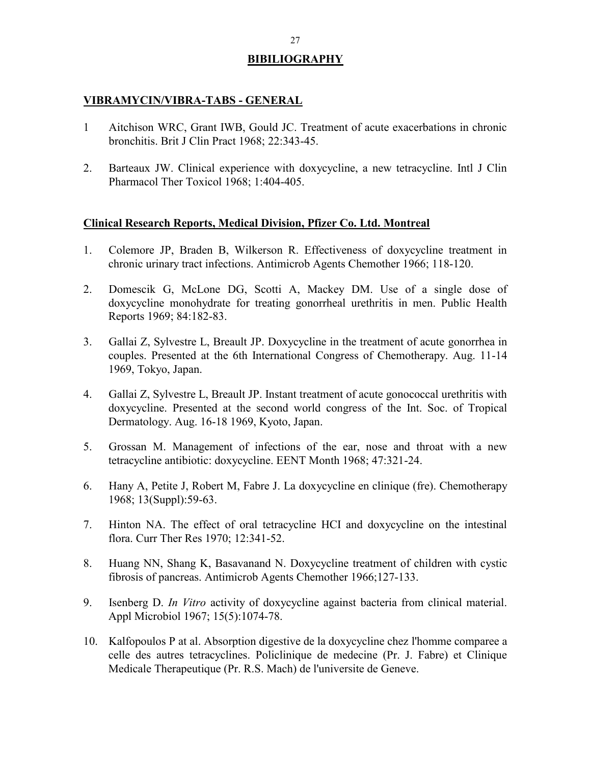# **BIBILIOGRAPHY**

### **VIBRAMYCIN/VIBRA-TABS - GENERAL**

- 1 Aitchison WRC, Grant IWB, Gould JC. Treatment of acute exacerbations in chronic bronchitis. Brit J Clin Pract 1968; 22:343-45.
- 2. Barteaux JW. Clinical experience with doxycycline, a new tetracycline. Intl J Clin Pharmacol Ther Toxicol 1968; 1:404-405.

### **Clinical Research Reports, Medical Division, Pfizer Co. Ltd. Montreal**

- 1. Colemore JP, Braden B, Wilkerson R. Effectiveness of doxycycline treatment in chronic urinary tract infections. Antimicrob Agents Chemother 1966; 118-120.
- 2. Domescik G, McLone DG, Scotti A, Mackey DM. Use of a single dose of doxycycline monohydrate for treating gonorrheal urethritis in men. Public Health Reports 1969; 84:182-83.
- 3. Gallai Z, Sylvestre L, Breault JP. Doxycycline in the treatment of acute gonorrhea in couples. Presented at the 6th International Congress of Chemotherapy. Aug. 11-14 1969, Tokyo, Japan.
- 4. Gallai Z, Sylvestre L, Breault JP. Instant treatment of acute gonococcal urethritis with doxycycline. Presented at the second world congress of the Int. Soc. of Tropical Dermatology. Aug. 16-18 1969, Kyoto, Japan.
- 5. Grossan M. Management of infections of the ear, nose and throat with a new tetracycline antibiotic: doxycycline. EENT Month 1968; 47:321-24.
- 6. Hany A, Petite J, Robert M, Fabre J. La doxycycline en clinique (fre). Chemotherapy 1968; 13(Suppl):59-63.
- 7. Hinton NA. The effect of oral tetracycline HCI and doxycycline on the intestinal flora. Curr Ther Res 1970; 12:341-52.
- 8. Huang NN, Shang K, Basavanand N. Doxycycline treatment of children with cystic fibrosis of pancreas. Antimicrob Agents Chemother 1966;127-133.
- 9. Isenberg D. *In Vitro* activity of doxycycline against bacteria from clinical material. Appl Microbiol 1967; 15(5):1074-78.
- 10. Kalfopoulos P at al. Absorption digestive de la doxycycline chez l'homme comparee a celle des autres tetracyclines. Policlinique de medecine (Pr. J. Fabre) et Clinique Medicale Therapeutique (Pr. R.S. Mach) de l'universite de Geneve.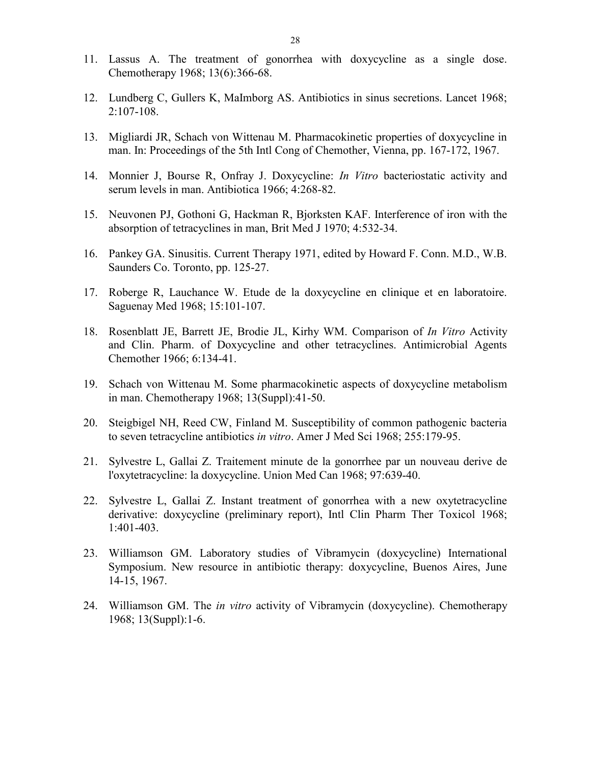- 11. Lassus A. The treatment of gonorrhea with doxycycline as a single dose. Chemotherapy 1968; 13(6):366-68.
- 12. Lundberg C, Gullers K, MaImborg AS. Antibiotics in sinus secretions. Lancet 1968; 2:107-108.
- 13. Migliardi JR, Schach von Wittenau M. Pharmacokinetic properties of doxycycline in man. In: Proceedings of the 5th Intl Cong of Chemother, Vienna, pp. 167-172, 1967.
- 14. Monnier J, Bourse R, Onfray J. Doxycycline: *In Vitro* bacteriostatic activity and serum levels in man. Antibiotica 1966; 4:268-82.
- 15. Neuvonen PJ, Gothoni G, Hackman R, Bjorksten KAF. Interference of iron with the absorption of tetracyclines in man, Brit Med J 1970; 4:532-34.
- 16. Pankey GA. Sinusitis. Current Therapy 1971, edited by Howard F. Conn. M.D., W.B. Saunders Co. Toronto, pp. 125-27.
- 17. Roberge R, Lauchance W. Etude de la doxycycline en clinique et en laboratoire. Saguenay Med 1968; 15:101-107.
- 18. Rosenblatt JE, Barrett JE, Brodie JL, Kirhy WM. Comparison of *In Vitro* Activity and Clin. Pharm. of Doxycycline and other tetracyclines. Antimicrobial Agents Chemother 1966; 6:134-41.
- 19. Schach von Wittenau M. Some pharmacokinetic aspects of doxycycline metabolism in man. Chemotherapy 1968; 13(Suppl):41-50.
- 20. Steigbigel NH, Reed CW, Finland M. Susceptibility of common pathogenic bacteria to seven tetracycline antibiotics *in vitro*. Amer J Med Sci 1968; 255:179-95.
- 21. Sylvestre L, Gallai Z. Traitement minute de la gonorrhee par un nouveau derive de l'oxytetracycline: la doxycycline. Union Med Can 1968; 97:639-40.
- 22. Sylvestre L, Gallai Z. Instant treatment of gonorrhea with a new oxytetracycline derivative: doxycycline (preliminary report), Intl Clin Pharm Ther Toxicol 1968; 1:401-403.
- 23. Williamson GM. Laboratory studies of Vibramycin (doxycycline) International Symposium. New resource in antibiotic therapy: doxycycline, Buenos Aires, June 14-15, 1967.
- 24. Williamson GM. The *in vitro* activity of Vibramycin (doxycycline). Chemotherapy 1968; 13(Suppl):1-6.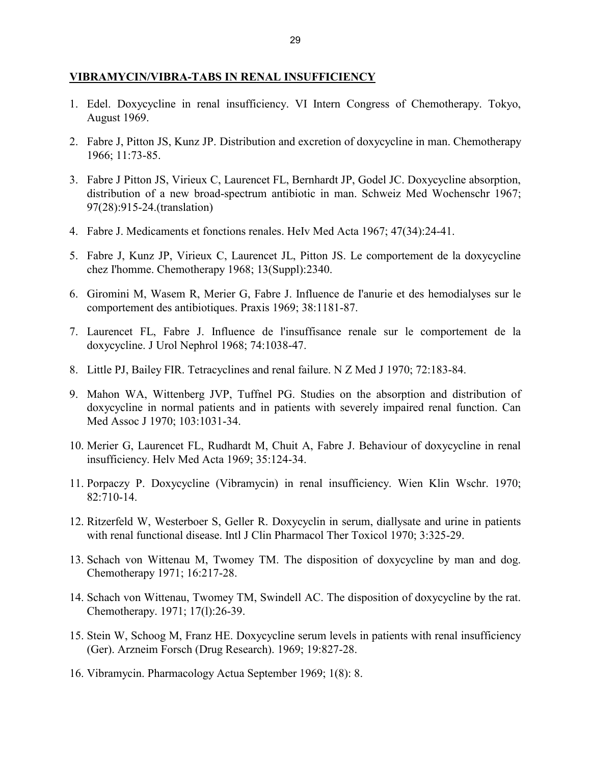#### **VIBRAMYCIN/VIBRA-TABS IN RENAL INSUFFICIENCY**

- 1. Edel. Doxycycline in renal insufficiency. VI Intern Congress of Chemotherapy. Tokyo, August 1969.
- 2. Fabre J, Pitton JS, Kunz JP. Distribution and excretion of doxycycline in man. Chemotherapy 1966; 11:73-85.
- 3. Fabre J Pitton JS, Virieux C, Laurencet FL, Bernhardt JP, Godel JC. Doxycycline absorption, distribution of a new broad-spectrum antibiotic in man. Schweiz Med Wochenschr 1967; 97(28):915-24.(translation)
- 4. Fabre J. Medicaments et fonctions renales. HeIv Med Acta 1967; 47(34):24-41.
- 5. Fabre J, Kunz JP, Virieux C, Laurencet JL, Pitton JS. Le comportement de la doxycycline chez I'homme. Chemotherapy 1968; 13(Suppl):2340.
- 6. Giromini M, Wasem R, Merier G, Fabre J. Influence de I'anurie et des hemodialyses sur le comportement des antibiotiques. Praxis 1969; 38:1181-87.
- 7. Laurencet FL, Fabre J. Influence de l'insuffisance renale sur le comportement de la doxycycline. J Urol Nephrol 1968; 74:1038-47.
- 8. Little PJ, Bailey FIR. Tetracyclines and renal failure. N Z Med J 1970; 72:183-84.
- 9. Mahon WA, Wittenberg JVP, Tuffnel PG. Studies on the absorption and distribution of doxycycline in normal patients and in patients with severely impaired renal function. Can Med Assoc J 1970; 103:1031-34.
- 10. Merier G, Laurencet FL, Rudhardt M, Chuit A, Fabre J. Behaviour of doxycycline in renal insufficiency. Helv Med Acta 1969; 35:124-34.
- 11. Porpaczy P. Doxycycline (Vibramycin) in renal insufficiency. Wien Klin Wschr. 1970; 82:710-14.
- 12. Ritzerfeld W, Westerboer S, Geller R. Doxycyclin in serum, diallysate and urine in patients with renal functional disease. Intl J Clin Pharmacol Ther Toxicol 1970; 3:325-29.
- 13. Schach von Wittenau M, Twomey TM. The disposition of doxycycline by man and dog. Chemotherapy 1971; 16:217-28.
- 14. Schach von Wittenau, Twomey TM, Swindell AC. The disposition of doxycycline by the rat. Chemotherapy. 1971; 17(l):26-39.
- 15. Stein W, Schoog M, Franz HE. Doxycycline serum levels in patients with renal insufficiency (Ger). Arzneim Forsch (Drug Research). 1969; 19:827-28.
- 16. Vibramycin. Pharmacology Actua September 1969; 1(8): 8.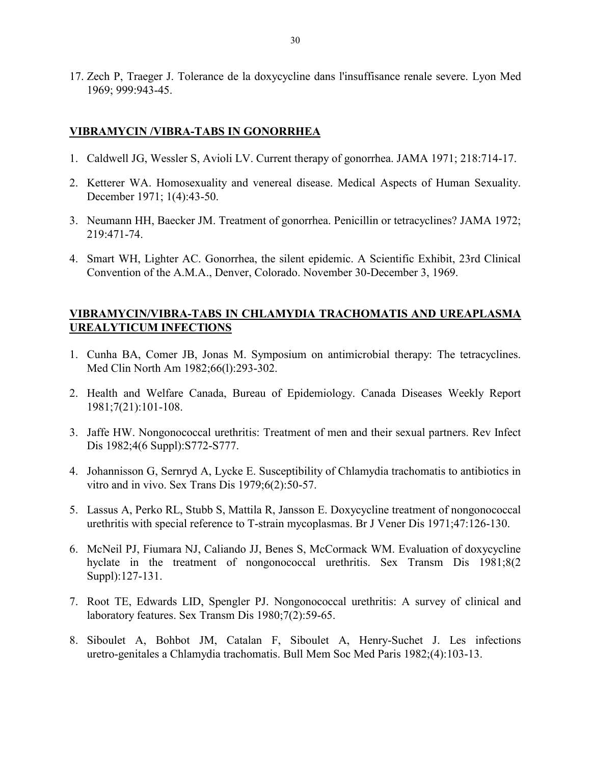17. Zech P, Traeger J. Tolerance de la doxycycline dans l'insuffisance renale severe. Lyon Med 1969; 999:943-45.

### **VIBRAMYCIN /VIBRA-TABS IN GONORRHEA**

- 1. Caldwell JG, Wessler S, Avioli LV. Current therapy of gonorrhea. JAMA 1971; 218:714-17.
- 2. Ketterer WA. Homosexuality and venereal disease. Medical Aspects of Human Sexuality. December 1971; 1(4):43-50.
- 3. Neumann HH, Baecker JM. Treatment of gonorrhea. Penicillin or tetracyclines? JAMA 1972; 219:471-74.
- 4. Smart WH, Lighter AC. Gonorrhea, the silent epidemic. A Scientific Exhibit, 23rd Clinical Convention of the A.M.A., Denver, Colorado. November 30-December 3, 1969.

### **VIBRAMYCIN/VIBRA-TABS IN CHLAMYDIA TRACHOMATIS AND UREAPLASMA UREALYTICUM INFECTlONS**

- 1. Cunha BA, Comer JB, Jonas M. Symposium on antimicrobial therapy: The tetracyclines. Med Clin North Am 1982;66(l):293-302.
- 2. Health and Welfare Canada, Bureau of Epidemiology. Canada Diseases Weekly Report 1981;7(21):101-108.
- 3. Jaffe HW. Nongonococcal urethritis: Treatment of men and their sexual partners. Rev Infect Dis 1982;4(6 Suppl):S772-S777.
- 4. Johannisson G, Sernryd A, Lycke E. Susceptibility of Chlamydia trachomatis to antibiotics in vitro and in vivo. Sex Trans Dis 1979;6(2):50-57.
- 5. Lassus A, Perko RL, Stubb S, Mattila R, Jansson E. Doxycycline treatment of nongonococcal urethritis with special reference to T-strain mycoplasmas. Br J Vener Dis 1971;47:126-130.
- 6. McNeil PJ, Fiumara NJ, Caliando JJ, Benes S, McCormack WM. Evaluation of doxycycline hyclate in the treatment of nongonococcal urethritis. Sex Transm Dis 1981;8(2) Suppl):127-131.
- 7. Root TE, Edwards LID, Spengler PJ. Nongonococcal urethritis: A survey of clinical and laboratory features. Sex Transm Dis 1980;7(2):59-65.
- 8. Siboulet A, Bohbot JM, Catalan F, Siboulet A, Henry-Suchet J. Les infections uretro-genitales a Chlamydia trachomatis. Bull Mem Soc Med Paris 1982;(4):103-13.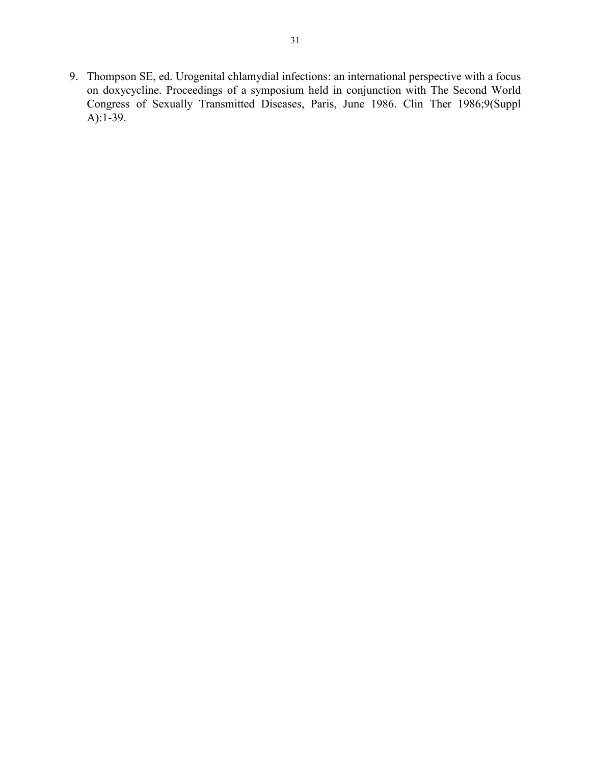9. Thompson SE, ed. Urogenital chlamydial infections: an international perspective with a focus on doxycycline. Proceedings of a symposium held in conjunction with The Second World Congress of Sexually Transmitted Diseases, Paris, June 1986. Clin Ther 1986;9(Suppl A):1-39.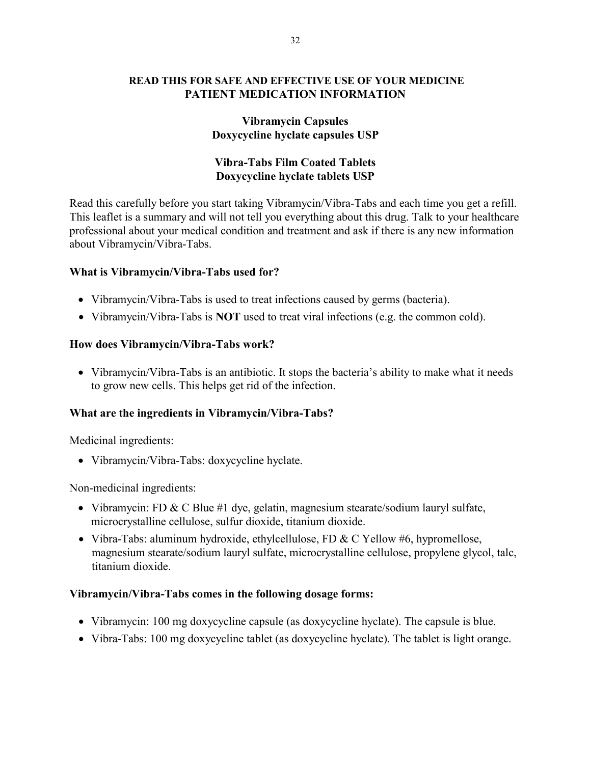### **READ THIS FOR SAFE AND EFFECTIVE USE OF YOUR MEDICINE PATIENT MEDICATION INFORMATION**

## **Vibramycin Capsules Doxycycline hyclate capsules USP**

# **Vibra-Tabs Film Coated Tablets Doxycycline hyclate tablets USP**

Read this carefully before you start taking Vibramycin/Vibra-Tabs and each time you get a refill. This leaflet is a summary and will not tell you everything about this drug. Talk to your healthcare professional about your medical condition and treatment and ask if there is any new information about Vibramycin/Vibra-Tabs.

## **What is Vibramycin/Vibra-Tabs used for?**

- Vibramycin/Vibra-Tabs is used to treat infections caused by germs (bacteria).
- Vibramycin/Vibra-Tabs is **NOT** used to treat viral infections (e.g. the common cold).

## **How does Vibramycin/Vibra-Tabs work?**

• Vibramycin/Vibra-Tabs is an antibiotic. It stops the bacteria's ability to make what it needs to grow new cells. This helps get rid of the infection.

# **What are the ingredients in Vibramycin/Vibra-Tabs?**

Medicinal ingredients:

• Vibramycin/Vibra-Tabs: doxycycline hyclate.

Non-medicinal ingredients:

- Vibramycin: FD & C Blue #1 dye, gelatin, magnesium stearate/sodium lauryl sulfate, microcrystalline cellulose, sulfur dioxide, titanium dioxide.
- Vibra-Tabs: aluminum hydroxide, ethylcellulose, FD & C Yellow #6, hypromellose, magnesium stearate/sodium lauryl sulfate, microcrystalline cellulose, propylene glycol, talc, titanium dioxide.

### **Vibramycin/Vibra-Tabs comes in the following dosage forms:**

- Vibramycin: 100 mg doxycycline capsule (as doxycycline hyclate). The capsule is blue.
- Vibra-Tabs: 100 mg doxycycline tablet (as doxycycline hyclate). The tablet is light orange.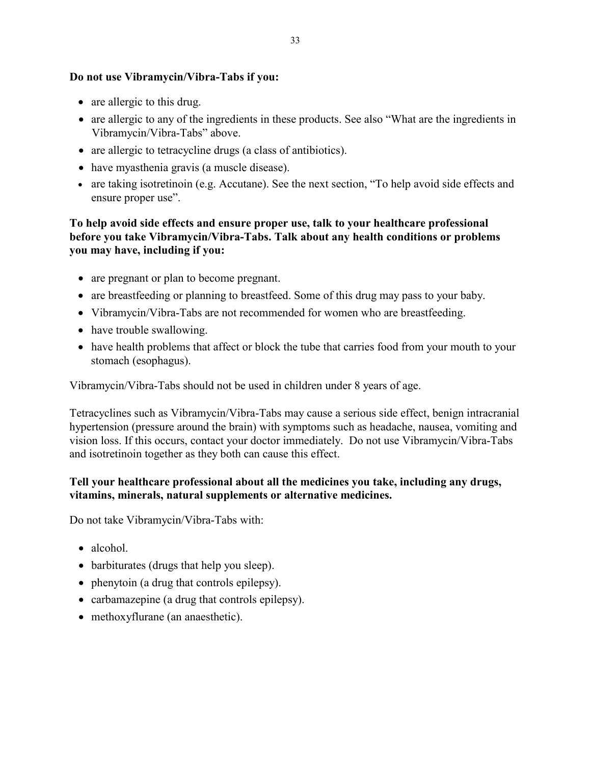## **Do not use Vibramycin/Vibra-Tabs if you:**

- are allergic to this drug.
- are allergic to any of the ingredients in these products. See also "What are the ingredients in Vibramycin/Vibra-Tabs" above.
- are allergic to tetracycline drugs (a class of antibiotics).
- have myasthenia gravis (a muscle disease).
- are taking isotretinoin (e.g. Accutane). See the next section, "To help avoid side effects and ensure proper use".

**To help avoid side effects and ensure proper use, talk to your healthcare professional before you take Vibramycin/Vibra-Tabs. Talk about any health conditions or problems you may have, including if you:** 

- are pregnant or plan to become pregnant.
- are breastfeeding or planning to breastfeed. Some of this drug may pass to your baby.
- Vibramycin/Vibra-Tabs are not recommended for women who are breastfeeding.
- have trouble swallowing.
- have health problems that affect or block the tube that carries food from your mouth to your stomach (esophagus).

Vibramycin/Vibra-Tabs should not be used in children under 8 years of age.

Tetracyclines such as Vibramycin/Vibra-Tabs may cause a serious side effect, benign intracranial hypertension (pressure around the brain) with symptoms such as headache, nausea, vomiting and vision loss. If this occurs, contact your doctor immediately. Do not use Vibramycin/Vibra-Tabs and isotretinoin together as they both can cause this effect.

# **Tell your healthcare professional about all the medicines you take, including any drugs, vitamins, minerals, natural supplements or alternative medicines.**

Do not take Vibramycin/Vibra-Tabs with:

- alcohol.
- barbiturates (drugs that help you sleep).
- phenytoin (a drug that controls epilepsy).
- carbamazepine (a drug that controls epilepsy).
- methoxyflurane (an anaesthetic).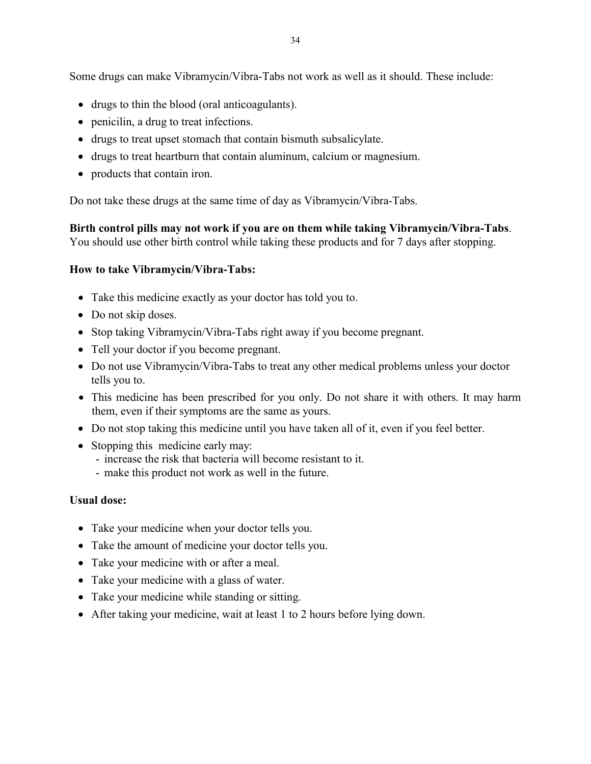Some drugs can make Vibramycin/Vibra-Tabs not work as well as it should. These include:

- drugs to thin the blood (oral anticoagulants).
- penicilin, a drug to treat infections.
- drugs to treat upset stomach that contain bismuth subsalicylate.
- drugs to treat heartburn that contain aluminum, calcium or magnesium.
- products that contain iron.

Do not take these drugs at the same time of day as Vibramycin/Vibra-Tabs.

**Birth control pills may not work if you are on them while taking Vibramycin/Vibra-Tabs**. You should use other birth control while taking these products and for 7 days after stopping.

## **How to take Vibramycin/Vibra-Tabs:**

- Take this medicine exactly as your doctor has told you to.
- Do not skip doses.
- Stop taking Vibramycin/Vibra-Tabs right away if you become pregnant.
- Tell your doctor if you become pregnant.
- Do not use Vibramycin/Vibra-Tabs to treat any other medical problems unless your doctor tells you to.
- This medicine has been prescribed for you only. Do not share it with others. It may harm them, even if their symptoms are the same as yours.
- Do not stop taking this medicine until you have taken all of it, even if you feel better.
- Stopping this medicine early may:
	- increase the risk that bacteria will become resistant to it.
	- make this product not work as well in the future.

### **Usual dose:**

- Take your medicine when your doctor tells you.
- Take the amount of medicine your doctor tells you.
- Take your medicine with or after a meal.
- Take your medicine with a glass of water.
- Take your medicine while standing or sitting.
- After taking your medicine, wait at least 1 to 2 hours before lying down.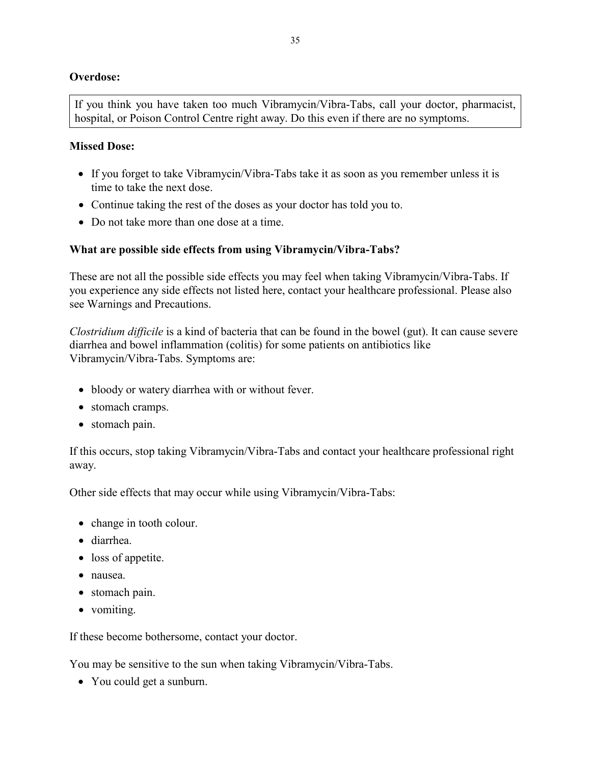# **Overdose:**

If you think you have taken too much Vibramycin/Vibra-Tabs, call your doctor, pharmacist, hospital, or Poison Control Centre right away. Do this even if there are no symptoms.

### **Missed Dose:**

- If you forget to take Vibramycin/Vibra-Tabs take it as soon as you remember unless it is time to take the next dose.
- Continue taking the rest of the doses as your doctor has told you to.
- Do not take more than one dose at a time.

# **What are possible side effects from using Vibramycin/Vibra-Tabs?**

These are not all the possible side effects you may feel when taking Vibramycin/Vibra-Tabs. If you experience any side effects not listed here, contact your healthcare professional. Please also see Warnings and Precautions.

*Clostridium difficile* is a kind of bacteria that can be found in the bowel (gut). It can cause severe diarrhea and bowel inflammation (colitis) for some patients on antibiotics like Vibramycin/Vibra-Tabs. Symptoms are:

- bloody or watery diarrhea with or without fever.
- stomach cramps.
- stomach pain.

If this occurs, stop taking Vibramycin/Vibra-Tabs and contact your healthcare professional right away.

Other side effects that may occur while using Vibramycin/Vibra-Tabs:

- change in tooth colour.
- diarrhea.
- loss of appetite.
- nausea.
- stomach pain.
- vomiting.

If these become bothersome, contact your doctor.

You may be sensitive to the sun when taking Vibramycin/Vibra-Tabs.

• You could get a sunburn.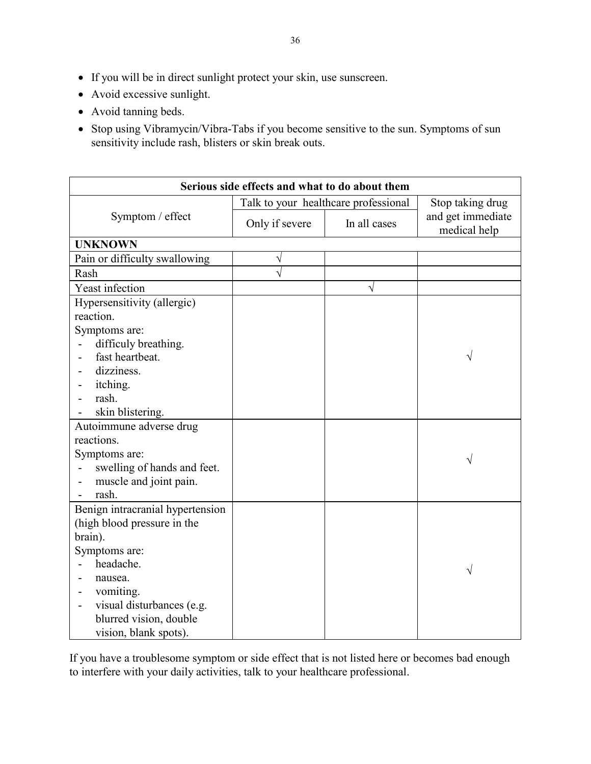- If you will be in direct sunlight protect your skin, use sunscreen.
- Avoid excessive sunlight.
- Avoid tanning beds.
- Stop using Vibramycin/Vibra-Tabs if you become sensitive to the sun. Symptoms of sun sensitivity include rash, blisters or skin break outs.

| Serious side effects and what to do about them         |                                      |              |                                   |
|--------------------------------------------------------|--------------------------------------|--------------|-----------------------------------|
|                                                        | Talk to your healthcare professional |              | Stop taking drug                  |
| Symptom / effect                                       | Only if severe                       | In all cases | and get immediate<br>medical help |
| <b>UNKNOWN</b>                                         |                                      |              |                                   |
| Pain or difficulty swallowing                          | V                                    |              |                                   |
| Rash                                                   | Ń                                    |              |                                   |
| Yeast infection                                        |                                      | $\sqrt{}$    |                                   |
| Hypersensitivity (allergic)                            |                                      |              |                                   |
| reaction.                                              |                                      |              |                                   |
| Symptoms are:                                          |                                      |              |                                   |
| difficuly breathing.                                   |                                      |              |                                   |
| fast heartbeat.                                        |                                      |              | V                                 |
| dizziness.                                             |                                      |              |                                   |
| itching.                                               |                                      |              |                                   |
| rash.                                                  |                                      |              |                                   |
| skin blistering.                                       |                                      |              |                                   |
| Autoimmune adverse drug                                |                                      |              |                                   |
| reactions.                                             |                                      |              |                                   |
| Symptoms are:                                          |                                      |              | V                                 |
| swelling of hands and feet.                            |                                      |              |                                   |
| muscle and joint pain.<br>$\qquad \qquad \blacksquare$ |                                      |              |                                   |
| rash.<br>$\blacksquare$                                |                                      |              |                                   |
| Benign intracranial hypertension                       |                                      |              |                                   |
| (high blood pressure in the                            |                                      |              |                                   |
| brain).                                                |                                      |              |                                   |
| Symptoms are:                                          |                                      |              |                                   |
| headache.                                              |                                      |              | $\sqrt{}$                         |
| nausea.                                                |                                      |              |                                   |
| vomiting.<br>$\qquad \qquad \blacksquare$              |                                      |              |                                   |
| visual disturbances (e.g.<br>$\overline{\phantom{0}}$  |                                      |              |                                   |
| blurred vision, double                                 |                                      |              |                                   |
| vision, blank spots).                                  |                                      |              |                                   |

If you have a troublesome symptom or side effect that is not listed here or becomes bad enough to interfere with your daily activities, talk to your healthcare professional.